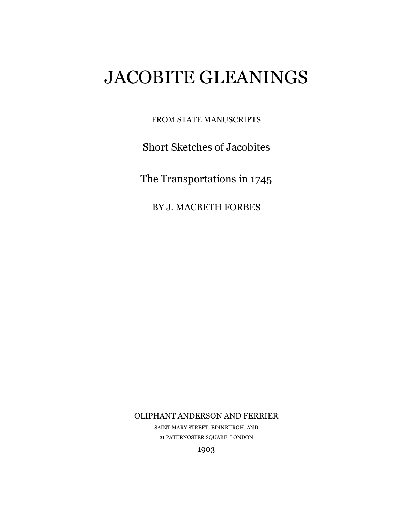# JACOBITE GLEANINGS

FROM STATE MANUSCRIPTS

Short Sketches of Jacobites

The Transportations in 1745

BY J. MACBETH FORBES

OLIPHANT ANDERSON AND FERRIER

SAINT MARY STREET, EDINBURGH, AND 21 PATERNOSTER SQUARE, LONDON

1903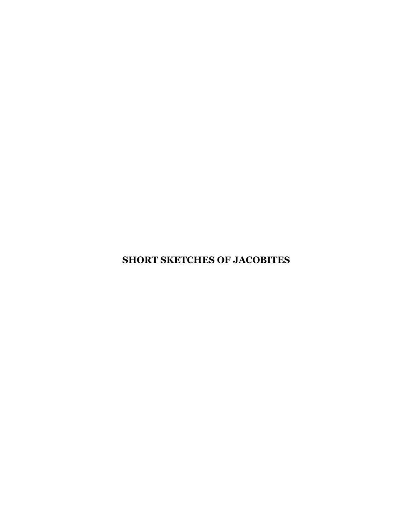**SHORT SKETCHES OF JACOBITES**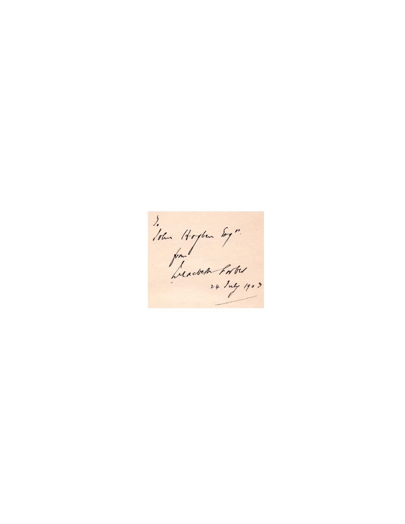),<br>John Horfben Ery".<br>John Horford<br>Denobel Forbes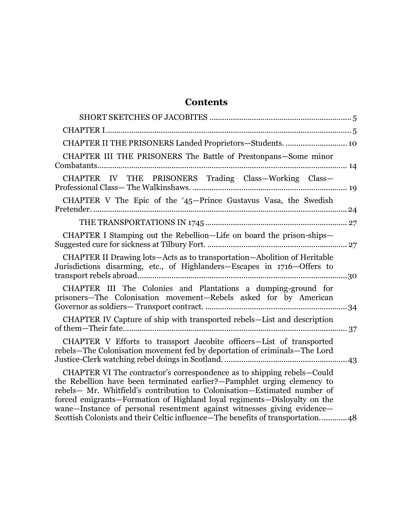# **Contents**

| CHAPTER II THE PRISONERS Landed Proprietors-Students.  10                                                                                                                                                                                                                                                                                                                            |
|--------------------------------------------------------------------------------------------------------------------------------------------------------------------------------------------------------------------------------------------------------------------------------------------------------------------------------------------------------------------------------------|
| CHAPTER III THE PRISONERS The Battle of Prestonpans-Some minor                                                                                                                                                                                                                                                                                                                       |
| CHAPTER IV THE PRISONERS Trading Class-Working Class-                                                                                                                                                                                                                                                                                                                                |
| CHAPTER V The Epic of the '45-Prince Gustavus Vasa, the Swedish                                                                                                                                                                                                                                                                                                                      |
|                                                                                                                                                                                                                                                                                                                                                                                      |
| CHAPTER I Stamping out the Rebellion—Life on board the prison-ships—                                                                                                                                                                                                                                                                                                                 |
| CHAPTER II Drawing lots—Acts as to transportation—Abolition of Heritable<br>Jurisdictions disarming, etc., of Highlanders-Escapes in 1716–Offers to                                                                                                                                                                                                                                  |
| CHAPTER III The Colonies and Plantations a dumping-ground for<br>prisoners-The Colonisation movement-Rebels asked for by American                                                                                                                                                                                                                                                    |
| CHAPTER IV Capture of ship with transported rebels—List and description                                                                                                                                                                                                                                                                                                              |
| CHAPTER V Efforts to transport Jacobite officers—List of transported<br>rebels-The Colonisation movement fed by deportation of criminals-The Lord                                                                                                                                                                                                                                    |
| CHAPTER VI The contractor's correspondence as to shipping rebels—Could<br>the Rebellion have been terminated earlier?—Pamphlet urging clemency to<br>rebels— Mr. Whitfield's contribution to Colonisation—Estimated number of<br>forced emigrants—Formation of Highland loyal regiments—Disloyalty on the<br>wane-Instance of personal resentment against witnesses giving evidence- |
| Scottish Colonists and their Celtic influence—The benefits of transportation48                                                                                                                                                                                                                                                                                                       |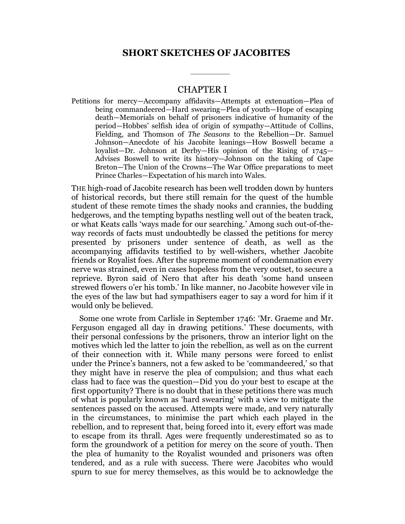#### **SHORT SKETCHES OF JACOBITES**

#### CHAPTER I

<span id="page-4-1"></span><span id="page-4-0"></span>Petitions for mercy—Accompany affidavits—Attempts at extenuation—Plea of being commandeered—Hard swearing—Plea of youth—Hope of escaping death—Memorials on behalf of prisoners indicative of humanity of the period—Hobbes" selfish idea of origin of sympathy—Attitude of Collins, Fielding, and Thomson of *The Seasons* to the Rebellion—Dr. Samuel Johnson—Anecdote of his Jacobite leanings—How Boswell became a loyalist—Dr. Johnson at Derby—His opinion of the Rising of 1745— Advises Boswell to write its history—Johnson on the taking of Cape Breton—The Union of the Crowns—The War Office preparations to meet Prince Charles—Expectation of his march into Wales.

THE high-road of Jacobite research has been well trodden down by hunters of historical records, but there still remain for the quest of the humble student of these remote times the shady nooks and crannies, the budding hedgerows, and the tempting bypaths nestling well out of the beaten track, or what Keats calls "ways made for our searching." Among such out-of-theway records of facts must undoubtedly be classed the petitions for mercy presented by prisoners under sentence of death, as well as the accompanying affidavits testified to by well-wishers, whether Jacobite friends or Royalist foes. After the supreme moment of condemnation every nerve was strained, even in cases hopeless from the very outset, to secure a reprieve. Byron said of Nero that after his death "some hand unseen strewed flowers o'er his tomb.' In like manner, no Jacobite however vile in the eyes of the law but had sympathisers eager to say a word for him if it would only be believed.

Some one wrote from Carlisle in September 1746: "Mr. Graeme and Mr. Ferguson engaged all day in drawing petitions.' These documents, with their personal confessions by the prisoners, throw an interior light on the motives which led the latter to join the rebellion, as well as on the current of their connection with it. While many persons were forced to enlist under the Prince"s banners, not a few asked to be "commandeered," so that they might have in reserve the plea of compulsion; and thus what each class had to face was the question—Did you do your best to escape at the first opportunity? There is no doubt that in these petitions there was much of what is popularly known as "hard swearing" with a view to mitigate the sentences passed on the accused. Attempts were made, and very naturally in the circumstances, to minimise the part which each played in the rebellion, and to represent that, being forced into it, every effort was made to escape from its thrall. Ages were frequently underestimated so as to form the groundwork of a petition for mercy on the score of youth. Then the plea of humanity to the Royalist wounded and prisoners was often tendered, and as a rule with success. There were Jacobites who would spurn to sue for mercy themselves, as this would be to acknowledge the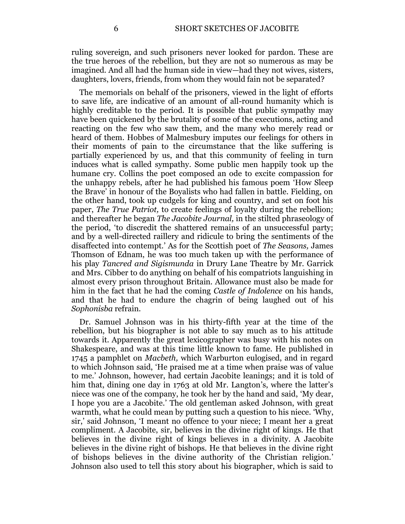ruling sovereign, and such prisoners never looked for pardon. These are the true heroes of the rebellion, but they are not so numerous as may be imagined. And all had the human side in view—had they not wives, sisters, daughters, lovers, friends, from whom they would fain not be separated?

The memorials on behalf of the prisoners, viewed in the light of efforts to save life, are indicative of an amount of all-round humanity which is highly creditable to the period. It is possible that public sympathy may have been quickened by the brutality of some of the executions, acting and reacting on the few who saw them, and the many who merely read or heard of them. Hobbes of Malmesbury imputes our feelings for others in their moments of pain to the circumstance that the like suffering is partially experienced by us, and that this community of feeling in turn induces what is called sympathy. Some public men happily took up the humane cry. Collins the poet composed an ode to excite compassion for the unhappy rebels, after he had published his famous poem "How Sleep the Brave" in honour of the Boyalists who had fallen in battle. Fielding, on the other hand, took up cudgels for king and country, and set on foot his paper, *The True Patriot,* to create feelings of loyalty during the rebellion; and thereafter he began *The Jacobite Journal,* in the stilted phraseology of the period, "to discredit the shattered remains of an unsuccessful party; and by a well-directed raillery and ridicule to bring the sentiments of the disaffected into contempt." As for the Scottish poet of *The Seasons,* James Thomson of Ednam, he was too much taken up with the performance of his play *Tancred and Sigismunda* in Drury Lane Theatre by Mr. Garrick and Mrs. Cibber to do anything on behalf of his compatriots languishing in almost every prison throughout Britain. Allowance must also be made for him in the fact that he had the coming *Castle of Indolence* on his hands, and that he had to endure the chagrin of being laughed out of his *Sophonisba* refrain.

Dr. Samuel Johnson was in his thirty-fifth year at the time of the rebellion, but his biographer is not able to say much as to his attitude towards it. Apparently the great lexicographer was busy with his notes on Shakespeare, and was at this time little known to fame. He published in 1745 a pamphlet on *Macbeth,* which Warburton eulogised, and in regard to which Johnson said, "He praised me at a time when praise was of value to me." Johnson, however, had certain Jacobite leanings; and it is told of him that, dining one day in 1763 at old Mr. Langton's, where the latter's niece was one of the company, he took her by the hand and said, "My dear, I hope you are a Jacobite." The old gentleman asked Johnson, with great warmth, what he could mean by putting such a question to his niece. "Why, sir,' said Johnson, 'I meant no offence to your niece; I meant her a great compliment. A Jacobite, sir, believes in the divine right of kings. He that believes in the divine right of kings believes in a divinity. A Jacobite believes in the divine right of bishops. He that believes in the divine right of bishops believes in the divine authority of the Christian religion." Johnson also used to tell this story about his biographer, which is said to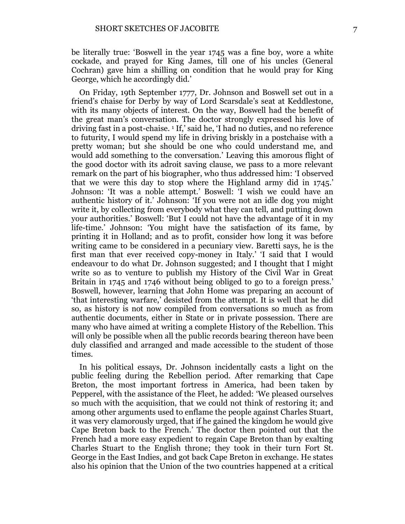be literally true: "Boswell in the year 1745 was a fine boy, wore a white cockade, and prayed for King James, till one of his uncles (General Cochran) gave him a shilling on condition that he would pray for King George, which he accordingly did."

On Friday, 19th September 1777, Dr. Johnson and Boswell set out in a friend"s chaise for Derby by way of Lord Scarsdale"s seat at Keddlestone, with its many objects of interest. On the way, Boswell had the benefit of the great man"s conversation. The doctor strongly expressed his love of driving fast in a post-chaise. <sup>1</sup> If,' said he, 'I had no duties, and no reference to futurity, I would spend my life in driving briskly in a postchaise with a pretty woman; but she should be one who could understand me, and would add something to the conversation." Leaving this amorous flight of the good doctor with its adroit saving clause, we pass to a more relevant remark on the part of his biographer, who thus addressed him: "I observed that we were this day to stop where the Highland army did in 1745. Johnson: "It was a noble attempt." Boswell: "I wish we could have an authentic history of it." Johnson: "If you were not an idle dog you might write it, by collecting from everybody what they can tell, and putting down your authorities." Boswell: "But I could not have the advantage of it in my life-time." Johnson: "You might have the satisfaction of its fame, by printing it in Holland; and as to profit, consider how long it was before writing came to be considered in a pecuniary view. Baretti says, he is the first man that ever received copy-money in Italy." "I said that I would endeavour to do what Dr. Johnson suggested; and I thought that I might write so as to venture to publish my History of the Civil War in Great Britain in 1745 and 1746 without being obliged to go to a foreign press. Boswell, however, learning that John Home was preparing an account of that interesting warfare,' desisted from the attempt. It is well that he did so, as history is not now compiled from conversations so much as from authentic documents, either in State or in private possession. There are many who have aimed at writing a complete History of the Rebellion. This will only be possible when all the public records bearing thereon have been duly classified and arranged and made accessible to the student of those times.

In his political essays, Dr. Johnson incidentally casts a light on the public feeling during the Rebellion period. After remarking that Cape Breton, the most important fortress in America, had been taken by Pepperel, with the assistance of the Fleet, he added: "We pleased ourselves so much with the acquisition, that we could not think of restoring it; and among other arguments used to enflame the people against Charles Stuart, it was very clamorously urged, that if he gained the kingdom he would give Cape Breton back to the French." The doctor then pointed out that the French had a more easy expedient to regain Cape Breton than by exalting Charles Stuart to the English throne; they took in their turn Fort St. George in the East Indies, and got back Cape Breton in exchange. He states also his opinion that the Union of the two countries happened at a critical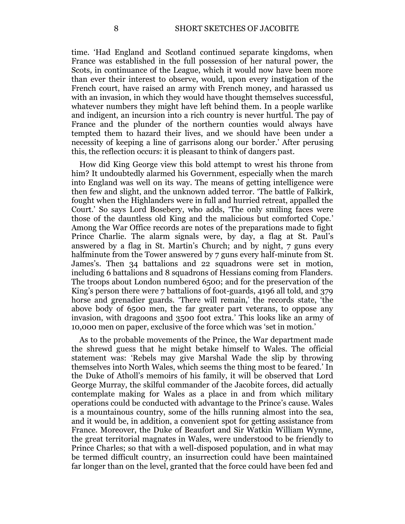time. "Had England and Scotland continued separate kingdoms, when France was established in the full possession of her natural power, the Scots, in continuance of the League, which it would now have been more than ever their interest to observe, would, upon every instigation of the French court, have raised an army with French money, and harassed us with an invasion, in which they would have thought themselves successful, whatever numbers they might have left behind them. In a people warlike and indigent, an incursion into a rich country is never hurtful. The pay of France and the plunder of the northern counties would always have tempted them to hazard their lives, and we should have been under a necessity of keeping a line of garrisons along our border." After perusing this, the reflection occurs: it is pleasant to think of dangers past.

How did King George view this bold attempt to wrest his throne from him? It undoubtedly alarmed his Government, especially when the march into England was well on its way. The means of getting intelligence were then few and slight, and the unknown added terror. "The battle of Falkirk, fought when the Highlanders were in full and hurried retreat, appalled the Court." So says Lord Bosebery, who adds, "The only smiling faces were those of the dauntless old King and the malicious but comforted Cope." Among the War Office records are notes of the preparations made to fight Prince Charlie. The alarm signals were, by day, a flag at St. Paul"s answered by a flag in St. Martin's Church; and by night, 7 guns every halfminute from the Tower answered by 7 guns every half-minute from St. James's. Then 34 battalions and 22 squadrons were set in motion, including 6 battalions and 8 squadrons of Hessians coming from Flanders. The troops about London numbered 6500; and for the preservation of the King's person there were 7 battalions of foot-guards, 4196 all told, and 379 horse and grenadier guards. 'There will remain,' the records state, 'the above body of 6500 men, the far greater part veterans, to oppose any invasion, with dragoons and 3500 foot extra." This looks like an army of 10,000 men on paper, exclusive of the force which was "set in motion."

As to the probable movements of the Prince, the War department made the shrewd guess that he might betake himself to Wales. The official statement was: "Rebels may give Marshal Wade the slip by throwing themselves into North Wales, which seems the thing most to be feared." In the Duke of Atholl"s memoirs of his family, it will be observed that Lord George Murray, the skilful commander of the Jacobite forces, did actually contemplate making for Wales as a place in and from which military operations could be conducted with advantage to the Prince"s cause. Wales is a mountainous country, some of the hills running almost into the sea, and it would be, in addition, a convenient spot for getting assistance from France. Moreover, the Duke of Beaufort and Sir Watkin William Wynne, the great territorial magnates in Wales, were understood to be friendly to Prince Charles; so that with a well-disposed population, and in what may be termed difficult country, an insurrection could have been maintained far longer than on the level, granted that the force could have been fed and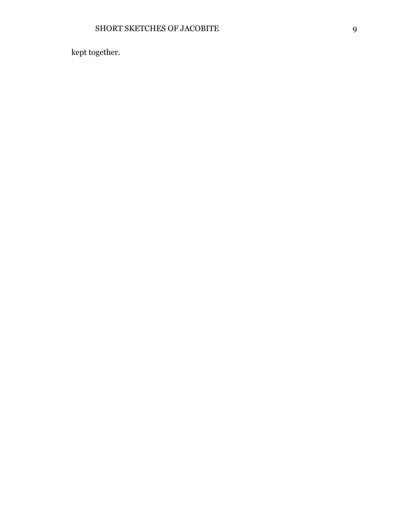kept together.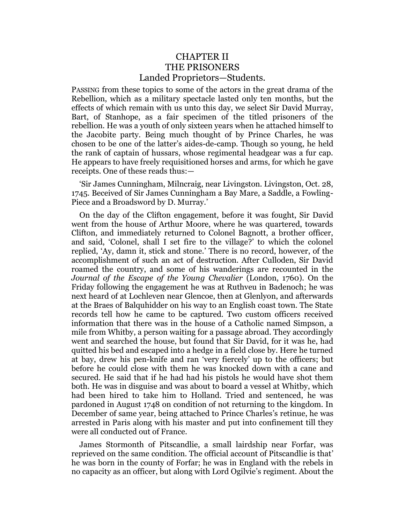#### CHAPTER II THE PRISONERS Landed Proprietors—Students.

<span id="page-9-0"></span>PASSING from these topics to some of the actors in the great drama of the Rebellion, which as a military spectacle lasted only ten months, but the effects of which remain with us unto this day, we select Sir David Murray, Bart, of Stanhope, as a fair specimen of the titled prisoners of the rebellion. He was a youth of only sixteen years when he attached himself to the Jacobite party. Being much thought of by Prince Charles, he was chosen to be one of the latter"s aides-de-camp. Though so young, he held the rank of captain of hussars, whose regimental headgear was a fur cap. He appears to have freely requisitioned horses and arms, for which he gave receipts. One of these reads thus:—

"Sir James Cunningham, Milncraig, near Livingston. Livingston, Oct. 28, 1745. Beceived of Sir James Cunningham a Bay Mare, a Saddle, a Fowling-Piece and a Broadsword by D. Murray.'

On the day of the Clifton engagement, before it was fought, Sir David went from the house of Arthur Moore, where he was quartered, towards Clifton, and immediately returned to Colonel Bagnott, a brother officer, and said, "Colonel, shall I set fire to the village?" to which the colonel replied, "Ay, damn it, stick and stone." There is no record, however, of the accomplishment of such an act of destruction. After Culloden, Sir David roamed the country, and some of his wanderings are recounted in the *Journal of the Escape of the Young Chevalier* (London, 1760). On the Friday following the engagement he was at Ruthveu in Badenoch; he was next heard of at Lochleven near Glencoe, then at Glenlyon, and afterwards at the Braes of Balquhidder on his way to an English coast town. The State records tell how he came to be captured. Two custom officers received information that there was in the house of a Catholic named Simpson, a mile from Whitby, a person waiting for a passage abroad. They accordingly went and searched the house, but found that Sir David, for it was he, had quitted his bed and escaped into a hedge in a field close by. Here he turned at bay, drew his pen-knife and ran "very fiercely" up to the officers; but before he could close with them he was knocked down with a cane and secured. He said that if he had had his pistols he would have shot them both. He was in disguise and was about to board a vessel at Whitby, which had been hired to take him to Holland. Tried and sentenced, he was pardoned in August 1748 on condition of not returning to the kingdom. In December of same year, being attached to Prince Charles"s retinue, he was arrested in Paris along with his master and put into confinement till they were all conducted out of France.

James Stormonth of Pitscandlie, a small lairdship near Forfar, was reprieved on the same condition. The official account of Pitscandlie is that" he was born in the county of Forfar; he was in England with the rebels in no capacity as an officer, but along with Lord Ogilvie"s regiment. About the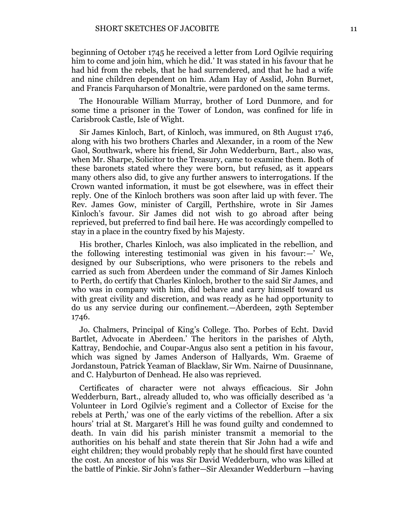beginning of October 1745 he received a letter from Lord Ogilvie requiring him to come and join him, which he did.' It was stated in his favour that he had hid from the rebels, that he had surrendered, and that he had a wife and nine children dependent on him. Adam Hay of Asslid, John Burnet, and Francis Farquharson of Monaltrie, were pardoned on the same terms.

The Honourable William Murray, brother of Lord Dunmore, and for some time a prisoner in the Tower of London, was confined for life in Carisbrook Castle, Isle of Wight.

Sir James Kinloch, Bart, of Kinloch, was immured, on 8th August 1746, along with his two brothers Charles and Alexander, in a room of the New Gaol, Southwark, where his friend, Sir John Wedderburn, Bart., also was, when Mr. Sharpe, Solicitor to the Treasury, came to examine them. Both of these baronets stated where they were born, but refused, as it appears many others also did, to give any further answers to interrogations. If the Crown wanted information, it must be got elsewhere, was in effect their reply. One of the Kinloch brothers was soon after laid up with fever. The Rev. James Gow, minister of Cargill, Perthshire, wrote in Sir James Kinloch"s favour. Sir James did not wish to go abroad after being reprieved, but preferred to find bail here. He was accordingly compelled to stay in a place in the country fixed by his Majesty.

His brother, Charles Kinloch, was also implicated in the rebellion, and the following interesting testimonial was given in his favour:—" We, designed by our Subscriptions, who were prisoners to the rebels and carried as such from Aberdeen under the command of Sir James Kinloch to Perth, do certify that Charles Kinloch, brother to the said Sir James, and who was in company with him, did behave and carry himself toward us with great civility and discretion, and was ready as he had opportunity to do us any service during our confinement.—Aberdeen, 29th September 1746.

Jo. Chalmers, Principal of King"s College. Tho. Porbes of Echt. David Bartlet, Advocate in Aberdeen." The heritors in the parishes of Alyth, Kattray, Bendochie, and Coupar-Angus also sent a petition in his favour, which was signed by James Anderson of Hallyards, Wm. Graeme of Jordanstoun, Patrick Yeaman of Blacklaw, Sir Wm. Nairne of Duusinnane, and C. Halyburton of Denhead. He also was reprieved.

Certificates of character were not always efficacious. Sir John Wedderburn, Bart., already alluded to, who was officially described as "a Volunteer in Lord Ogilvie"s regiment and a Collector of Excise for the rebels at Perth,' was one of the early victims of the rebellion. After a six hours' trial at St. Margaret's Hill he was found guilty and condemned to death. In vain did his parish minister transmit a memorial to the authorities on his behalf and state therein that Sir John had a wife and eight children; they would probably reply that he should first have counted the cost. An ancestor of his was Sir David Wedderburn, who was killed at the battle of Pinkie. Sir John"s father—Sir Alexander Wedderburn —having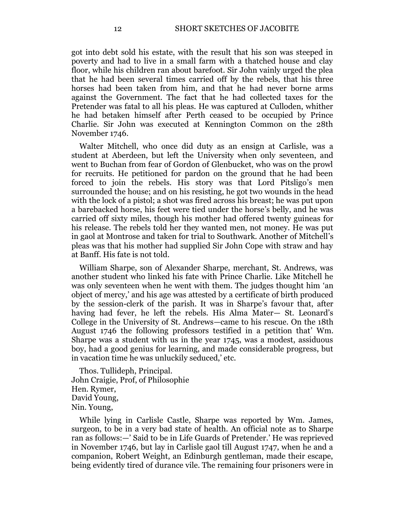got into debt sold his estate, with the result that his son was steeped in poverty and had to live in a small farm with a thatched house and clay floor, while his children ran about barefoot. Sir John vainly urged the plea that he had been several times carried off by the rebels, that his three horses had been taken from him, and that he had never borne arms against the Government. The fact that he had collected taxes for the Pretender was fatal to all his pleas. He was captured at Culloden, whither he had betaken himself after Perth ceased to be occupied by Prince Charlie. Sir John was executed at Kennington Common on the 28th November 1746.

Walter Mitchell, who once did duty as an ensign at Carlisle, was a student at Aberdeen, but left the University when only seventeen, and went to Buchan from fear of Gordon of Glenbucket, who was on the prowl for recruits. He petitioned for pardon on the ground that he had been forced to join the rebels. His story was that Lord Pitsligo's men surrounded the house; and on his resisting, he got two wounds in the head with the lock of a pistol; a shot was fired across his breast; he was put upon a barebacked horse, his feet were tied under the horse"s belly, and he was carried off sixty miles, though his mother had offered twenty guineas for his release. The rebels told her they wanted men, not money. He was put in gaol at Montrose and taken for trial to Southwark. Another of Mitchell"s pleas was that his mother had supplied Sir John Cope with straw and hay at Banff. His fate is not told.

William Sharpe, son of Alexander Sharpe, merchant, St. Andrews, was another student who linked his fate with Prince Charlie. Like Mitchell he was only seventeen when he went with them. The judges thought him "an object of mercy," and his age was attested by a certificate of birth produced by the session-clerk of the parish. It was in Sharpe's favour that, after having had fever, he left the rebels. His Alma Mater-St. Leonard's College in the University of St. Andrews—came to his rescue. On the 18th August 1746 the following professors testified in a petition that" Wm. Sharpe was a student with us in the year 1745, was a modest, assiduous boy, had a good genius for learning, and made considerable progress, but in vacation time he was unluckily seduced,' etc.

Thos. Tullideph, Principal. John Craigie, Prof, of Philosophie Hen. Rymer, David Young, Nin. Young,

While lying in Carlisle Castle, Sharpe was reported by Wm. James, surgeon, to be in a very bad state of health. An official note as to Sharpe ran as follows:—' Said to be in Life Guards of Pretender.' He was reprieved in November 1746, but lay in Carlisle gaol till August 1747, when he and a companion, Robert Weight, an Edinburgh gentleman, made their escape, being evidently tired of durance vile. The remaining four prisoners were in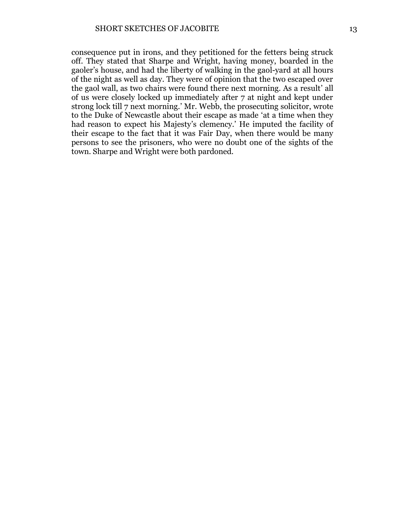consequence put in irons, and they petitioned for the fetters being struck off. They stated that Sharpe and Wright, having money, boarded in the gaoler"s house, and had the liberty of walking in the gaol-yard at all hours of the night as well as day. They were of opinion that the two escaped over the gaol wall, as two chairs were found there next morning. As a result' all of us were closely locked up immediately after 7 at night and kept under strong lock till 7 next morning." Mr. Webb, the prosecuting solicitor, wrote to the Duke of Newcastle about their escape as made "at a time when they had reason to expect his Majesty's clemency.' He imputed the facility of their escape to the fact that it was Fair Day, when there would be many persons to see the prisoners, who were no doubt one of the sights of the town. Sharpe and Wright were both pardoned.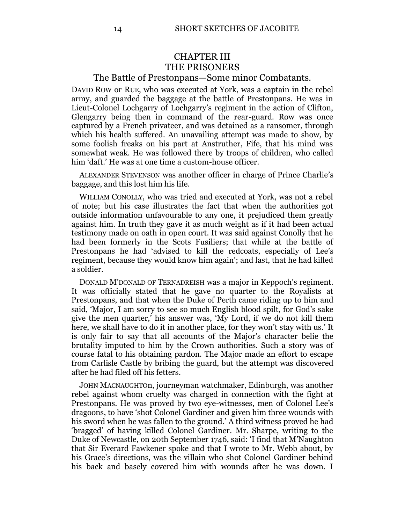### CHAPTER III THE PRISONERS

#### The Battle of Prestonpans—Some minor Combatants.

<span id="page-13-0"></span>DAVID ROW or RUE, who was executed at York, was a captain in the rebel army, and guarded the baggage at the battle of Prestonpans. He was in Lieut-Colonel Lochgarry of Lochgarry"s regiment in the action of Clifton, Glengarry being then in command of the rear-guard. Row was once captured by a French privateer, and was detained as a ransomer, through which his health suffered. An unavailing attempt was made to show, by some foolish freaks on his part at Anstruther, Fife, that his mind was somewhat weak. He was followed there by troops of children, who called him 'daft.' He was at one time a custom-house officer.

ALEXANDER STEVENSON was another officer in charge of Prince Charlie"s baggage, and this lost him his life.

WILLIAM CONOLLY, who was tried and executed at York, was not a rebel of note; but his case illustrates the fact that when the authorities got outside information unfavourable to any one, it prejudiced them greatly against him. In truth they gave it as much weight as if it had been actual testimony made on oath in open court. It was said against Conolly that he had been formerly in the Scots Fusiliers; that while at the battle of Prestonpans he had 'advised to kill the redcoats, especially of Lee's regiment, because they would know him again'; and last, that he had killed a soldier.

DONALD M'DONALD OF TERNADREISH was a major in Keppoch's regiment. It was officially stated that he gave no quarter to the Royalists at Prestonpans, and that when the Duke of Perth came riding up to him and said, 'Major, I am sorry to see so much English blood spilt, for God's sake give the men quarter,' his answer was, 'My Lord, if we do not kill them here, we shall have to do it in another place, for they won't stay with us.' It is only fair to say that all accounts of the Major"s character belie the brutality imputed to him by the Crown authorities. Such a story was of course fatal to his obtaining pardon. The Major made an effort to escape from Carlisle Castle by bribing the guard, but the attempt was discovered after he had filed off his fetters.

JOHN MACNAUGHTOn, journeyman watchmaker, Edinburgh, was another rebel against whom cruelty was charged in connection with the fight at Prestonpans. He was proved by two eye-witnesses, men of Colonel Lee"s dragoons, to have "shot Colonel Gardiner and given him three wounds with his sword when he was fallen to the ground." A third witness proved he had "bragged" of having killed Colonel Gardiner. Mr. Sharpe, writing to the Duke of Newcastle, on 20th September 1746, said: "I find that M"Naughton that Sir Everard Fawkener spoke and that I wrote to Mr. Webb about, by his Grace"s directions, was the villain who shot Colonel Gardiner behind his back and basely covered him with wounds after he was down. I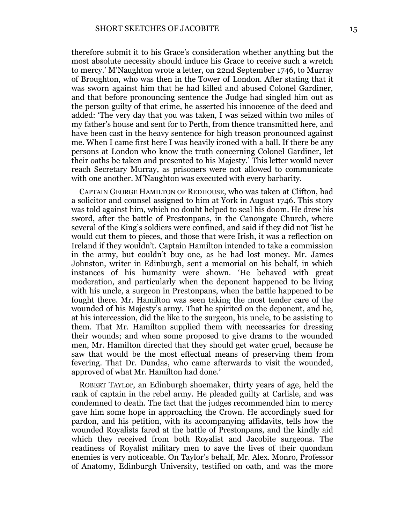therefore submit it to his Grace"s consideration whether anything but the most absolute necessity should induce his Grace to receive such a wretch to mercy." M"Naughton wrote a letter, on 22nd September 1746, to Murray of Broughton, who was then in the Tower of London. After stating that it was sworn against him that he had killed and abused Colonel Gardiner, and that before pronouncing sentence the Judge had singled him out as the person guilty of that crime, he asserted his innocence of the deed and added: "The very day that you was taken, I was seized within two miles of my father"s house and sent for to Perth, from thence transmitted here, and have been cast in the heavy sentence for high treason pronounced against me. When I came first here I was heavily ironed with a ball. If there be any persons at London who know the truth concerning Colonel Gardiner, let their oaths be taken and presented to his Majesty." This letter would never reach Secretary Murray, as prisoners were not allowed to communicate with one another. M"Naughton was executed with every barbarity.

CAPTAIN GEORGE HAMILTON OF REDHOUSE, who was taken at Clifton, had a solicitor and counsel assigned to him at York in August 1746. This story was told against him, which no douht helped to seal his doom. He drew his sword, after the battle of Prestonpans, in the Canongate Church, where several of the King"s soldiers were confined, and said if they did not "list he would cut them to pieces, and those that were Irish, it was a reflection on Ireland if they wouldn"t. Captain Hamilton intended to take a commission in the army, but couldn"t buy one, as he had lost money. Mr. James Johnston, writer in Edinburgh, sent a memorial on his behalf, in which instances of his humanity were shown. "He behaved with great moderation, and particularly when the deponent happened to be living with his uncle, a surgeon in Prestonpans, when the battle happened to be fought there. Mr. Hamilton was seen taking the most tender care of the wounded of his Majesty"s army. That he spirited on the deponent, and he, at his intercession, did the like to the surgeon, his uncle, to be assisting to them. That Mr. Hamilton supplied them with necessaries for dressing their wounds; and when some proposed to give drams to the wounded men, Mr. Hamilton directed that they should get water gruel, because he saw that would be the most effectual means of preserving them from fevering. That Dr. Dundas, who came afterwards to visit the wounded, approved of what Mr. Hamilton had done.'

ROBERT TAYLor, an Edinburgh shoemaker, thirty years of age, held the rank of captain in the rebel army. He pleaded guilty at Carlisle, and was condemned to death. The fact that the judges recommended him to mercy gave him some hope in approaching the Crown. He accordingly sued for pardon, and his petition, with its accompanying affidavits, tells how the wounded Royalists fared at the battle of Prestonpans, and the kindly aid which they received from both Royalist and Jacobite surgeons. The readiness of Royalist military men to save the lives of their quondam enemies is very noticeable. On Taylor"s behalf, Mr. Alex. Monro, Professor of Anatomy, Edinburgh University, testified on oath, and was the more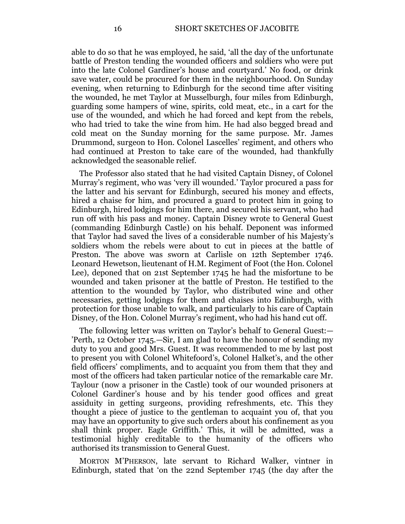able to do so that he was employed, he said, "all the day of the unfortunate battle of Preston tending the wounded officers and soldiers who were put into the late Colonel Gardiner"s house and courtyard." No food, or drink save water, could be procured for them in the neighbourhood. On Sunday evening, when returning to Edinburgh for the second time after visiting the wounded, he met Taylor at Musselburgh, four miles from Edinburgh, guarding some hampers of wine, spirits, cold meat, etc., in a cart for the use of the wounded, and which he had forced and kept from the rebels, who had tried to take the wine from him. He had also begged bread and cold meat on the Sunday morning for the same purpose. Mr. James Drummond, surgeon to Hon. Colonel Lascelles" regiment, and others who had continued at Preston to take care of the wounded, had thankfully acknowledged the seasonable relief.

The Professor also stated that he had visited Captain Disney, of Colonel Murray"s regiment, who was "very ill wounded." Taylor procured a pass for the latter and his servant for Edinburgh, secured his money and effects, hired a chaise for him, and procured a guard to protect him in going to Edinburgh, hired lodgings for him there, and secured his servant, who had run off with his pass and money. Captain Disney wrote to General Guest (commanding Edinburgh Castle) on his behalf. Deponent was informed that Taylor had saved the lives of a considerable number of his Majesty"s soldiers whom the rebels were about to cut in pieces at the battle of Preston. The above was sworn at Carlisle on 12th September 1746. Leonard Hewetson, lieutenant of H.M. Regiment of Foot (the Hon. Colonel Lee), deponed that on 21st September 1745 he had the misfortune to be wounded and taken prisoner at the battle of Preston. He testified to the attention to the wounded by Taylor, who distributed wine and other necessaries, getting lodgings for them and chaises into Edinburgh, with protection for those unable to walk, and particularly to his care of Captain Disney, of the Hon. Colonel Murray"s regiment, who had his hand cut off.

The following letter was written on Taylor's behalf to General Guest:— "Perth, 12 October 1745.—Sir, I am glad to have the honour of sending my duty to you and good Mrs. Guest. It was recommended to me by last post to present you with Colonel Whitefoord's, Colonel Halket's, and the other field officers' compliments, and to acquaint you from them that they and most of the officers had taken particular notice of the remarkable care Mr. Taylour (now a prisoner in the Castle) took of our wounded prisoners at Colonel Gardiner"s house and by his tender good offices and great assiduity in getting surgeons, providing refreshments, etc. This they thought a piece of justice to the gentleman to acquaint you of, that you may have an opportunity to give such orders about his confinement as you shall think proper. Eagle Griffith." This, it will be admitted, was a testimonial highly creditable to the humanity of the officers who authorised its transmission to General Guest.

MORTON M"PHERSON, late servant to Richard Walker, vintner in Edinburgh, stated that "on the 22nd September 1745 (the day after the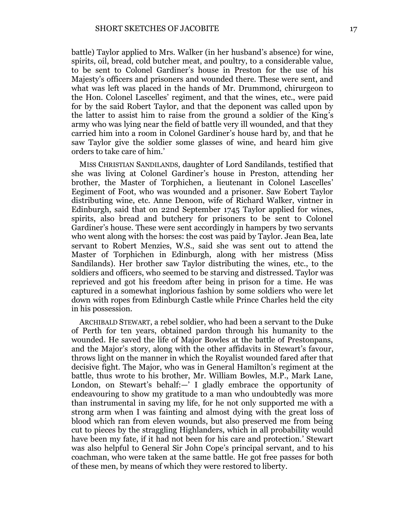battle) Taylor applied to Mrs. Walker (in her husband's absence) for wine, spirits, oil, bread, cold butcher meat, and poultry, to a considerable value, to be sent to Colonel Gardiner"s house in Preston for the use of his Majesty"s officers and prisoners and wounded there. These were sent, and what was left was placed in the hands of Mr. Drummond, chirurgeon to the Hon. Colonel Lascelles" regiment, and that the wines, etc., were paid for by the said Robert Taylor, and that the deponent was called upon by the latter to assist him to raise from the ground a soldier of the King"s army who was lying near the field of battle very ill wounded, and that they carried him into a room in Colonel Gardiner"s house hard by, and that he saw Taylor give the soldier some glasses of wine, and heard him give orders to take care of him."

MISS CHRISTIAN SANDILANDS, daughter of Lord Sandilands, testified that she was living at Colonel Gardiner"s house in Preston, attending her brother, the Master of Torphichen, a lieutenant in Colonel Lascelles" Eegiment of Foot, who was wounded and a prisoner. Saw Eobert Taylor distributing wine, etc. Anne Denoon, wife of Richard Walker, vintner in Edinburgh, said that on 22nd September 1745 Taylor applied for wines, spirits, also bread and butchery for prisoners to be sent to Colonel Gardiner"s house. These were sent accordingly in hampers by two servants who went along with the horses: the cost was paid by Taylor. Jean Bea, late servant to Robert Menzies, W.S., said she was sent out to attend the Master of Torphichen in Edinburgh, along with her mistress (Miss Sandilands). Her brother saw Taylor distributing the wines, etc., to the soldiers and officers, who seemed to be starving and distressed. Taylor was reprieved and got his freedom after being in prison for a time. He was captured in a somewhat inglorious fashion by some soldiers who were let down with ropes from Edinburgh Castle while Prince Charles held the city in his possession.

ARCHIBALD STEWART, a rebel soldier, who had been a servant to the Duke of Perth for ten years, obtained pardon through his humanity to the wounded. He saved the life of Major Bowles at the battle of Prestonpans, and the Major's story, along with the other affidavits in Stewart's favour, throws light on the manner in which the Royalist wounded fared after that decisive fight. The Major, who was in General Hamilton's regiment at the battle, thus wrote to his brother, Mr. William Bowles, M.P., Mark Lane, London, on Stewart's behalf: $-$ ' I gladly embrace the opportunity of endeavouring to show my gratitude to a man who undoubtedly was more than instrumental in saving my life, for he not only supported me with a strong arm when I was fainting and almost dying with the great loss of blood which ran from eleven wounds, but also preserved me from being cut to pieces by the straggling Highlanders, which in all probability would have been my fate, if it had not been for his care and protection.' Stewart was also helpful to General Sir John Cope"s principal servant, and to his coachman, who were taken at the same battle. He got free passes for both of these men, by means of which they were restored to liberty.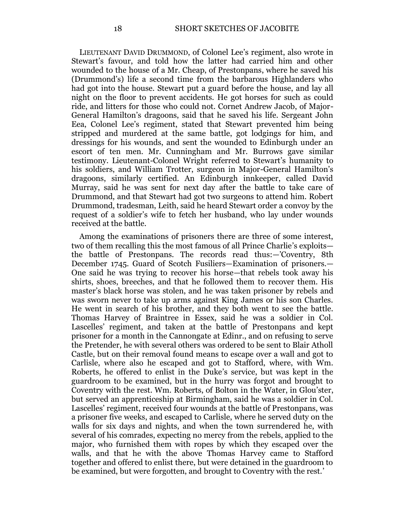LIEUTENANT DAVID DRUMMOND, of Colonel Lee"s regiment, also wrote in Stewart"s favour, and told how the latter had carried him and other wounded to the house of a Mr. Cheap, of Prestonpans, where he saved his (Drummond"s) life a second time from the barbarous Highlanders who had got into the house. Stewart put a guard before the house, and lay all night on the floor to prevent accidents. He got horses for such as could ride, and litters for those who could not. Cornet Andrew Jacob, of Major-General Hamilton"s dragoons, said that he saved his life. Sergeant John Eea, Colonel Lee"s regiment, stated that Stewart prevented him being stripped and murdered at the same battle, got lodgings for him, and dressings for his wounds, and sent the wounded to Edinburgh under an escort of ten men. Mr. Cunningham and Mr. Burrows gave similar testimony. Lieutenant-Colonel Wright referred to Stewart"s humanity to his soldiers, and William Trotter, surgeon in Major-General Hamilton"s dragoons, similarly certified. An Edinburgh innkeeper, called David Murray, said he was sent for next day after the battle to take care of Drummond, and that Stewart had got two surgeons to attend him. Robert Drummond, tradesman, Leith, said he heard Stewart order a convoy by the request of a soldier"s wife to fetch her husband, who lay under wounds received at the battle.

Among the examinations of prisoners there are three of some interest, two of them recalling this the most famous of all Prince Charlie"s exploits the battle of Prestonpans. The records read thus:—"Coventry, 8th December 1745. Guard of Scotch Fusiliers—Examination of prisoners.— One said he was trying to recover his horse—that rebels took away his shirts, shoes, breeches, and that he followed them to recover them. His master"s black horse was stolen, and he was taken prisoner by rebels and was sworn never to take up arms against King James or his son Charles. He went in search of his brother, and they both went to see the battle. Thomas Harvey of Braintree in Essex, said he was a soldier in Col. Lascelles' regiment, and taken at the battle of Prestonpans and kept prisoner for a month in the Cannongate at Edinr., and on refusing to serve the Pretender, he with several others was ordered to be sent to Blair Atholl Castle, but on their removal found means to escape over a wall and got to Carlisle, where also he escaped and got to Stafford, where, with Wm. Roberts, he offered to enlist in the Duke's service, but was kept in the guardroom to be examined, but in the hurry was forgot and brought to Coventry with the rest. Wm. Roberts, of Bolton in the Water, in Glou"ster, but served an apprenticeship at Birmingham, said he was a soldier in Col. Lascelles" regiment, received four wounds at the battle of Prestonpans, was a prisoner five weeks, and escaped to Carlisle, where he served duty on the walls for six days and nights, and when the town surrendered he, with several of his comrades, expecting no mercy from the rebels, applied to the major, who furnished them with ropes by which they escaped over the walls, and that he with the above Thomas Harvey came to Stafford together and offered to enlist there, but were detained in the guardroom to be examined, but were forgotten, and brought to Coventry with the rest.'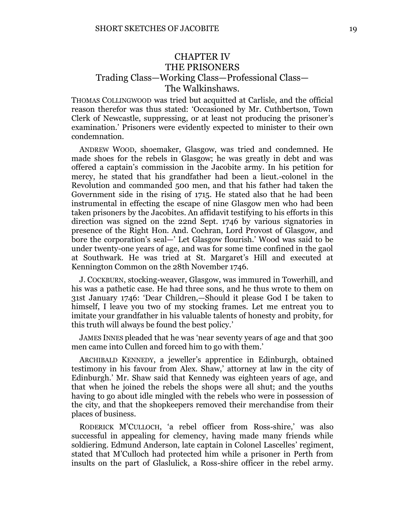# <span id="page-18-0"></span>CHAPTER IV THE PRISONERS Trading Class—Working Class—Professional Class— The Walkinshaws.

THOMAS COLLINGWOOD was tried but acquitted at Carlisle, and the official reason therefor was thus stated: "Occasioned by Mr. Cuthbertson, Town Clerk of Newcastle, suppressing, or at least not producing the prisoner"s examination." Prisoners were evidently expected to minister to their own condemnation.

ANDREW WOOD, shoemaker, Glasgow, was tried and condemned. He made shoes for the rebels in Glasgow; he was greatly in debt and was offered a captain"s commission in the Jacobite army. In his petition for mercy, he stated that his grandfather had been a lieut.-colonel in the Revolution and commanded 500 men, and that his father had taken the Government side in the rising of 1715. He stated also that he had been instrumental in effecting the escape of nine Glasgow men who had been taken prisoners by the Jacobites. An affidavit testifying to his efforts in this direction was signed on the 22nd Sept. 1746 by various signatories in presence of the Right Hon. And. Cochran, Lord Provost of Glasgow, and bore the corporation"s seal—" Let Glasgow flourish." Wood was said to be under twenty-one years of age, and was for some time confined in the gaol at Southwark. He was tried at St. Margaret's Hill and executed at Kennington Common on the 28th November 1746.

J. COCKBURN, stocking-weaver, Glasgow, was immured in Towerhill, and his was a pathetic case. He had three sons, and he thus wrote to them on 31st January 1746: "Dear Children,—Should it please God I be taken to himself, I leave you two of my stocking frames. Let me entreat you to imitate your grandfather in his valuable talents of honesty and probity, for this truth will always be found the best policy.'

JAMES INNES pleaded that he was "near seventy years of age and that 300 men came into Cullen and forced him to go with them.'

ARCHIBALD KENNEDY, a jeweller"s apprentice in Edinburgh, obtained testimony in his favour from Alex. Shaw,' attorney at law in the city of Edinburgh." Mr. Shaw said that Kennedy was eighteen years of age, and that when he joined the rebels the shops were all shut; and the youths having to go about idle mingled with the rebels who were in possession of the city, and that the shopkeepers removed their merchandise from their places of business.

RODERICK M'CULLOCH, 'a rebel officer from Ross-shire,' was also successful in appealing for clemency, having made many friends while soldiering. Edmund Anderson, late captain in Colonel Lascelles" regiment, stated that M"Culloch had protected him while a prisoner in Perth from insults on the part of Glaslulick, a Ross-shire officer in the rebel army.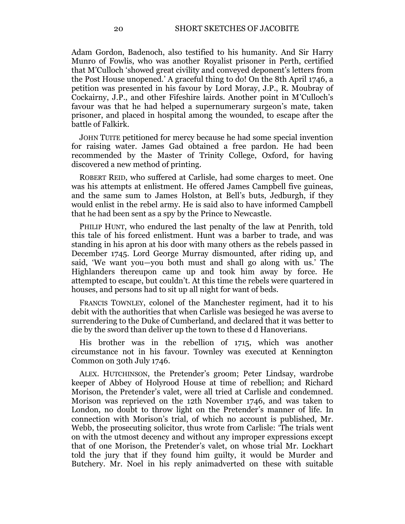Adam Gordon, Badenoch, also testified to his humanity. And Sir Harry Munro of Fowlis, who was another Royalist prisoner in Perth, certified that M"Culloch "showed great civility and conveyed deponent"s letters from the Post House unopened." A graceful thing to do! On the 8th April 1746, a petition was presented in his favour by Lord Moray, J.P., R. Moubray of Cockairny, J.P., and other Fifeshire lairds. Another point in M"Culloch"s favour was that he had helped a supernumerary surgeon's mate, taken prisoner, and placed in hospital among the wounded, to escape after the battle of Falkirk.

JOHN TUITE petitioned for mercy because he had some special invention for raising water. James Gad obtained a free pardon. He had been recommended by the Master of Trinity College, Oxford, for having discovered a new method of printing.

ROBERT REID, who suffered at Carlisle, had some charges to meet. One was his attempts at enlistment. He offered James Campbell five guineas, and the same sum to James Holston, at Bell"s buts, Jedburgh, if they would enlist in the rebel army. He is said also to have informed Campbell that he had been sent as a spy by the Prince to Newcastle.

PHILIP HUNT, who endured the last penalty of the law at Penrith, told this tale of his forced enlistment. Hunt was a barber to trade, and was standing in his apron at his door with many others as the rebels passed in December 1745. Lord George Murray dismounted, after riding up, and said, 'We want you—you both must and shall go along with us.' The Highlanders thereupon came up and took him away by force. He attempted to escape, but couldn"t. At this time the rebels were quartered in houses, and persons had to sit up all night for want of beds.

FRANCIS TOWNLEY, colonel of the Manchester regiment, had it to his debit with the authorities that when Carlisle was besieged he was averse to surrendering to the Duke of Cumberland, and declared that it was better to die by the sword than deliver up the town to these d d Hanoverians.

His brother was in the rebellion of 1715, which was another circumstance not in his favour. Townley was executed at Kennington Common on 30th July 1746.

ALEX. HUTCHINSON, the Pretender"s groom; Peter Lindsay, wardrobe keeper of Abbey of Holyrood House at time of rebellion; and Richard Morison, the Pretender"s valet, were all tried at Carlisle and condemned. Morison was reprieved on the 12th November 1746, and was taken to London, no doubt to throw light on the Pretender"s manner of life. In connection with Morison"s trial, of which no account is published, Mr. Webb, the prosecuting solicitor, thus wrote from Carlisle: "The trials went on with the utmost decency and without any improper expressions except that of one Morison, the Pretender"s valet, on whose trial Mr. Lockhart told the jury that if they found him guilty, it would be Murder and Butchery. Mr. Noel in his reply animadverted on these with suitable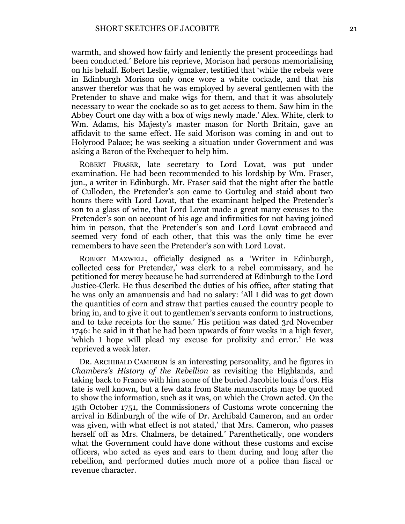warmth, and showed how fairly and leniently the present proceedings had been conducted." Before his reprieve, Morison had persons memorialising on his behalf. Eobert Leslie, wigmaker, testified that "while the rebels were in Edinburgh Morison only once wore a white cockade, and that his answer therefor was that he was employed by several gentlemen with the Pretender to shave and make wigs for them, and that it was absolutely necessary to wear the cockade so as to get access to them. Saw him in the Abbey Court one day with a box of wigs newly made." Alex. White, clerk to Wm. Adams, his Majesty"s master mason for North Britain, gave an affidavit to the same effect. He said Morison was coming in and out to Holyrood Palace; he was seeking a situation under Government and was asking a Baron of the Exchequer to help him.

ROBERT FRASER, late secretary to Lord Lovat, was put under examination. He had been recommended to his lordship by Wm. Fraser, jun., a writer in Edinburgh. Mr. Fraser said that the night after the battle of Culloden, the Pretender"s son came to Gortuleg and staid about two hours there with Lord Lovat, that the examinant helped the Pretender's son to a glass of wine, that Lord Lovat made a great many excuses to the Pretender"s son on account of his age and infirmities for not having joined him in person, that the Pretender's son and Lord Lovat embraced and seemed very fond of each other, that this was the only time he ever remembers to have seen the Pretender"s son with Lord Lovat.

ROBERT MAXWELL, officially designed as a "Writer in Edinburgh, collected cess for Pretender," was clerk to a rebel commissary, and he petitioned for mercy because he had surrendered at Edinburgh to the Lord Justice-Clerk. He thus described the duties of his office, after stating that he was only an amanuensis and had no salary: "All I did was to get down the quantities of corn and straw that parties caused the country people to bring in, and to give it out to gentlemen"s servants conform to instructions, and to take receipts for the same.' His petition was dated 3rd November 1746: he said in it that he had been upwards of four weeks in a high fever, "which I hope will plead my excuse for prolixity and error." He was reprieved a week later.

DR. ARCHIBALD CAMERON is an interesting personality, and he figures in *Chambers's History of the Rebellion* as revisiting the Highlands, and taking back to France with him some of the buried Jacobite louis d"ors. His fate is well known, but a few data from State manuscripts may be quoted to show the information, such as it was, on which the Crown acted. On the 15th October 1751, the Commissioners of Customs wrote concerning the arrival in Edinburgh of the wife of Dr. Archibald Cameron, and an order was given, with what effect is not stated," that Mrs. Cameron, who passes herself off as Mrs. Chalmers, be detained." Parenthetically, one wonders what the Government could have done without these customs and excise officers, who acted as eyes and ears to them during and long after the rebellion, and performed duties much more of a police than fiscal or revenue character.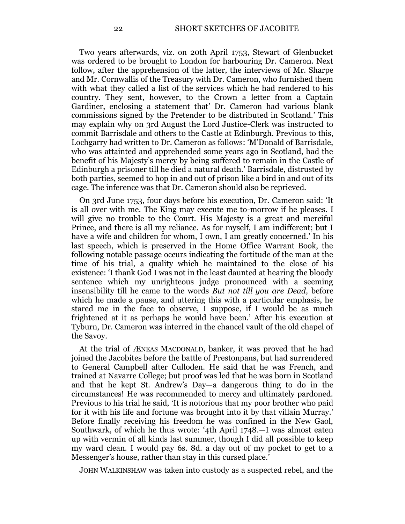Two years afterwards, viz. on 20th April 1753, Stewart of Glenbucket was ordered to be brought to London for harbouring Dr. Cameron. Next follow, after the apprehension of the latter, the interviews of Mr. Sharpe and Mr. Cornwallis of the Treasury with Dr. Cameron, who furnished them with what they called a list of the services which he had rendered to his country. They sent, however, to the Crown a letter from a Captain Gardiner, enclosing a statement that' Dr. Cameron had various blank commissions signed by the Pretender to be distributed in Scotland." This may explain why on 3rd August the Lord Justice-Clerk was instructed to commit Barrisdale and others to the Castle at Edinburgh. Previous to this, Lochgarry had written to Dr. Cameron as follows: "M"Donald of Barrisdale, who was attainted and apprehended some years ago in Scotland, had the benefit of his Majesty"s mercy by being suffered to remain in the Castle of Edinburgh a prisoner till he died a natural death." Barrisdale, distrusted by both parties, seemed to hop in and out of prison like a bird in and out of its cage. The inference was that Dr. Cameron should also be reprieved.

On 3rd June 1753, four days before his execution, Dr. Cameron said: "It is all over with me. The King may execute me to-morrow if he pleases. I will give no trouble to the Court. His Majesty is a great and merciful Prince, and there is all my reliance. As for myself, I am indifferent; but I have a wife and children for whom, I own, I am greatly concerned.' In his last speech, which is preserved in the Home Office Warrant Book, the following notable passage occurs indicating the fortitude of the man at the time of his trial, a quality which he maintained to the close of his existence: "I thank God I was not in the least daunted at hearing the bloody sentence which my unrighteous judge pronounced with a seeming insensibility till he came to the words *But not till you are Dead,* before which he made a pause, and uttering this with a particular emphasis, he stared me in the face to observe, I suppose, if I would be as much frightened at it as perhaps he would have been." After his execution at Tyburn, Dr. Cameron was interred in the chancel vault of the old chapel of the Savoy.

At the trial of ÆNEAS MACDONALD, banker, it was proved that he had joined the Jacobites before the battle of Prestonpans, but had surrendered to General Campbell after Culloden. He said that he was French, and trained at Navarre College; but proof was led that he was born in Scotland and that he kept St. Andrew"s Day—a dangerous thing to do in the circumstances! He was recommended to mercy and ultimately pardoned. Previous to his trial he said, "It is notorious that my poor brother who paid for it with his life and fortune was brought into it by that villain Murray." Before finally receiving his freedom he was confined in the New Gaol, Southwark, of which he thus wrote: "4th April 1748.—I was almost eaten up with vermin of all kinds last summer, though I did all possible to keep my ward clean. I would pay 6s. 8d. a day out of my pocket to get to a Messenger's house, rather than stay in this cursed place."

JOHN WALKINSHAW was taken into custody as a suspected rebel, and the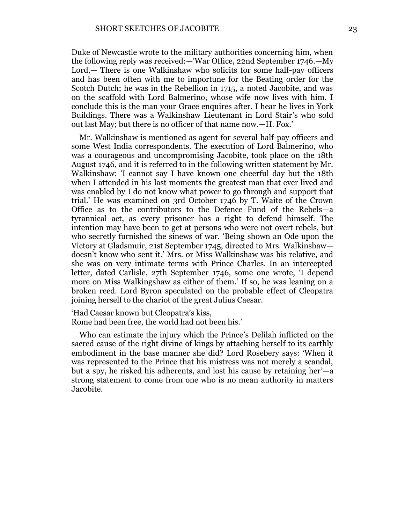Duke of Newcastle wrote to the military authorities concerning him, when the following reply was received:—"War Office, 22nd September 1746.—My Lord,— There is one Walkinshaw who solicits for some half-pay officers and has been often with me to importune for the Beating order for the Scotch Dutch; he was in the Rebellion in 1715, a noted Jacobite, and was on the scaffold with Lord Balmerino, whose wife now lives with him. I conclude this is the man your Grace enquires after. I hear he lives in York Buildings. There was a Walkinshaw Lieutenant in Lord Stair"s who sold out last May; but there is no officer of that name now.—H. Fox."

Mr. Walkinshaw is mentioned as agent for several half-pay officers and some West India correspondents. The execution of Lord Balmerino, who was a courageous and uncompromising Jacobite, took place on the 18th August 1746, and it is referred to in the following written statement by Mr. Walkinshaw: "I cannot say I have known one cheerful day but the 18th when I attended in his last moments the greatest man that ever lived and was enabled by I do not know what power to go through and support that trial." He was examined on 3rd October 1746 by T. Waite of the Crown Office as to the contributors to the Defence Fund of the Rebels—a tyrannical act, as every prisoner has a right to defend himself. The intention may have been to get at persons who were not overt rebels, but who secretly furnished the sinews of war. "Being shown an Ode upon the Victory at Gladsmuir, 21st September 1745, directed to Mrs. Walkinshaw doesn't know who sent it.' Mrs. or Miss Walkinshaw was his relative, and she was on very intimate terms with Prince Charles. In an intercepted letter, dated Carlisle, 27th September 1746, some one wrote, 'I depend more on Miss Walkingshaw as either of them.' If so, he was leaning on a broken reed. Lord Byron speculated on the probable effect of Cleopatra joining herself to the chariot of the great Julius Caesar.

'Had Caesar known but Cleopatra's kiss, Rome had been free, the world had not been his."

Who can estimate the injury which the Prince"s Delilah inflicted on the sacred cause of the right divine of kings by attaching herself to its earthly embodiment in the base manner she did? Lord Rosebery says: "When it was represented to the Prince that his mistress was not merely a scandal, but a spy, he risked his adherents, and lost his cause by retaining her'—a strong statement to come from one who is no mean authority in matters Jacobite.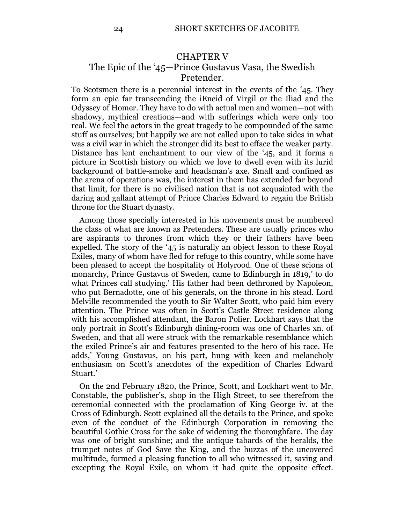#### <span id="page-23-0"></span>CHAPTER V The Epic of the "45—Prince Gustavus Vasa, the Swedish Pretender.

To Scotsmen there is a perennial interest in the events of the "45. They form an epic far transcending the iEneid of Virgil or the Iliad and the Odyssey of Homer. They have to do with actual men and women—not with shadowy, mythical creations—and with sufferings which were only too real. We feel the actors in the great tragedy to be compounded of the same stuff as ourselves; but happily we are not called upon to take sides in what was a civil war in which the stronger did its best to efface the weaker party. Distance has lent enchantment to our view of the "45, and it forms a picture in Scottish history on which we love to dwell even with its lurid background of battle-smoke and headsman"s axe. Small and confined as the arena of operations was, the interest in them has extended far beyond that limit, for there is no civilised nation that is not acquainted with the daring and gallant attempt of Prince Charles Edward to regain the British throne for the Stuart dynasty.

Among those specially interested in his movements must be numbered the class of what are known as Pretenders. These are usually princes who are aspirants to thrones from which they or their fathers have been expelled. The story of the '45 is naturally an object lesson to these Royal Exiles, many of whom have fled for refuge to this country, while some have been pleased to accept the hospitality of Holyrood. One of these scions of monarchy, Prince Gustavus of Sweden, came to Edinburgh in 1819,' to do what Princes call studying.' His father had been dethroned by Napoleon, who put Bernadotte, one of his generals, on the throne in his stead. Lord Melville recommended the youth to Sir Walter Scott, who paid him every attention. The Prince was often in Scott's Castle Street residence along with his accomplished attendant, the Baron Polier. Lockhart says that the only portrait in Scott"s Edinburgh dining-room was one of Charles xn. of Sweden, and that all were struck with the remarkable resemblance which the exiled Prince"s air and features presented to the hero of his race. He adds," Young Gustavus, on his part, hung with keen and melancholy enthusiasm on Scott"s anecdotes of the expedition of Charles Edward Stuart.'

On the 2nd February 1820, the Prince, Scott, and Lockhart went to Mr. Constable, the publisher"s, shop in the High Street, to see therefrom the ceremonial connected with the proclamation of King George iv. at the Cross of Edinburgh. Scott explained all the details to the Prince, and spoke even of the conduct of the Edinburgh Corporation in removing the beautiful Gothic Cross for the sake of widening the thoroughfare. The day was one of bright sunshine; and the antique tabards of the heralds, the trumpet notes of God Save the King, and the huzzas of the uncovered multitude, formed a pleasing function to all who witnessed it, saving and excepting the Royal Exile, on whom it had quite the opposite effect.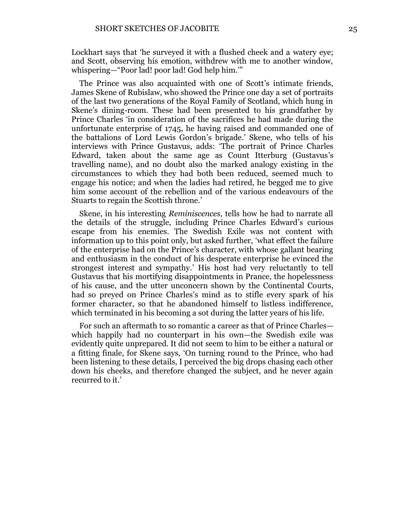Lockhart says that "he surveyed it with a flushed cheek and a watery eye; and Scott, observing his emotion, withdrew with me to another window, whispering—"Poor lad! poor lad! God help him.""

The Prince was also acquainted with one of Scott's intimate friends, James Skene of Rubislaw, who showed the Prince one day a set of portraits of the last two generations of the Royal Family of Scotland, which hung in Skene's dining-room. These had been presented to his grandfather by Prince Charles "in consideration of the sacrifices he had made during the unfortunate enterprise of 1745, he having raised and commanded one of the battalions of Lord Lewis Gordon"s brigade." Skene, who tells of his interviews with Prince Gustavus, adds: "The portrait of Prince Charles Edward, taken about the same age as Count Itterburg (Gustavus"s travelling name), and no doubt also the marked analogy existing in the circumstances to which they had both been reduced, seemed much to engage his notice; and when the ladies had retired, he begged me to give him some account of the rebellion and of the various endeavours of the Stuarts to regain the Scottish throne.'

Skene, in his interesting *Reminiscences,* tells how he had to narrate all the details of the struggle, including Prince Charles Edward"s curious escape from his enemies. The Swedish Exile was not content with information up to this point only, but asked further, "what effect the failure of the enterprise had on the Prince"s character, with whose gallant bearing and enthusiasm in the conduct of his desperate enterprise he evinced the strongest interest and sympathy." His host had very reluctantly to tell Gustavus that his mortifying disappointments in Prance, the hopelessness of his cause, and the utter unconcern shown by the Continental Courts, had so preyed on Prince Charles's mind as to stifle every spark of his former character, so that he abandoned himself to listless indifference, which terminated in his becoming a sot during the latter years of his life.

For such an aftermath to so romantic a career as that of Prince Charles which happily had no counterpart in his own—the Swedish exile was evidently quite unprepared. It did not seem to him to be either a natural or a fitting finale, for Skene says, "On turning round to the Prince, who had been listening to these details, I perceived the big drops chasing each other down his cheeks, and therefore changed the subject, and he never again recurred to it.'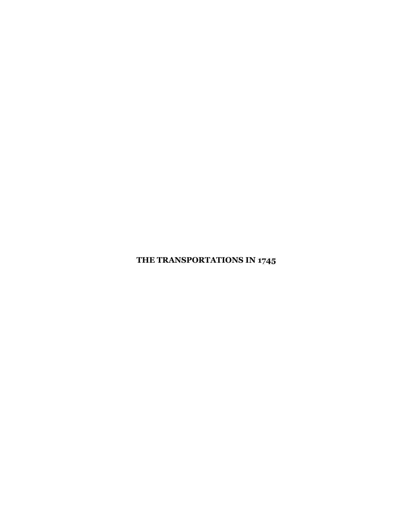**THE TRANSPORTATIONS IN 1745**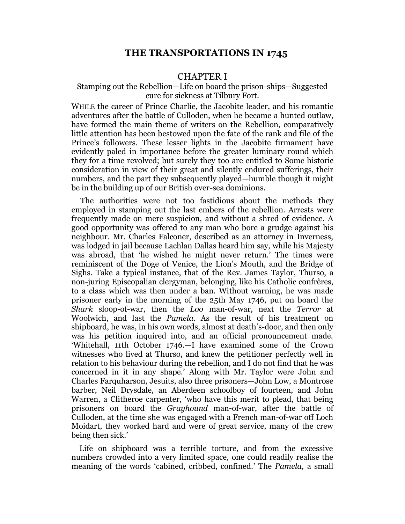#### **THE TRANSPORTATIONS IN 1745**

#### CHAPTER I

#### <span id="page-26-1"></span><span id="page-26-0"></span>Stamping out the Rebellion—Life on board the prison-ships—Suggested cure for sickness at Tilbury Fort.

WHILE the career of Prince Charlie, the Jacobite leader, and his romantic adventures after the battle of Culloden, when he became a hunted outlaw, have formed the main theme of writers on the Rebellion, comparatively little attention has been bestowed upon the fate of the rank and file of the Prince's followers. These lesser lights in the Jacobite firmament have evidently paled in importance before the greater luminary round which they for a time revolved; but surely they too are entitled to Some historic consideration in view of their great and silently endured sufferings, their numbers, and the part they subsequently played—humble though it might be in the building up of our British over-sea dominions.

The authorities were not too fastidious about the methods they employed in stamping out the last embers of the rebellion. Arrests were frequently made on mere suspicion, and without a shred of evidence. A good opportunity was offered to any man who bore a grudge against his neighbour. Mr. Charles Falconer, described as an attorney in Inverness, was lodged in jail because Lachlan Dallas heard him say, while his Majesty was abroad, that "he wished he might never return." The times were reminiscent of the Doge of Venice, the Lion"s Mouth, and the Bridge of Sighs. Take a typical instance, that of the Rev. James Taylor, Thurso, a non-juring Episcopalian clergyman, belonging, like his Catholic confrères, to a class which was then under a ban. Without warning, he was made prisoner early in the morning of the 25th May 1746, put on board the *Shark* sloop-of-war, then the *Loo* man-of-war, next the *Terror* at Woolwich, and last the *Pamela.* As the result of his treatment on shipboard, he was, in his own words, almost at death"s-door, and then only was his petition inquired into, and an official pronouncement made. "Whitehall, 11th October 1746.—I have examined some of the Crown witnesses who lived at Thurso, and knew the petitioner perfectly well in relation to his behaviour during the rebellion, and I do not find that he was concerned in it in any shape." Along with Mr. Taylor were John and Charles Farquharson, Jesuits, also three prisoners—John Low, a Montrose barber, Neil Drysdale, an Aberdeen schoolboy of fourteen, and John Warren, a Clitheroe carpenter, "who have this merit to plead, that being prisoners on board the *Grayhound* man-of-war, after the battle of Culloden, at the time she was engaged with a French man-of-war off Loch Moidart, they worked hard and were of great service, many of the crew being then sick.'

Life on shipboard was a terrible torture, and from the excessive numbers crowded into a very limited space, one could readily realise the meaning of the words "cabined, cribbed, confined." The *Pamela,* a small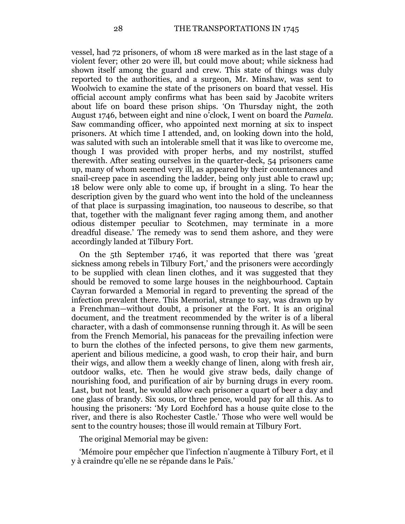vessel, had 72 prisoners, of whom 18 were marked as in the last stage of a violent fever; other 20 were ill, but could move about; while sickness had shown itself among the guard and crew. This state of things was duly reported to the authorities, and a surgeon, Mr. Minshaw, was sent to Woolwich to examine the state of the prisoners on board that vessel. His official account amply confirms what has been said by Jacobite writers about life on board these prison ships. "On Thursday night, the 20th August 1746, between eight and nine o"clock, I went on board the *Pamela.*  Saw commanding officer, who appointed next morning at six to inspect prisoners. At which time I attended, and, on looking down into the hold, was saluted with such an intolerable smell that it was like to overcome me, though I was provided with proper herbs, and my nostrilst, stuffed therewith. After seating ourselves in the quarter-deck, 54 prisoners came up, many of whom seemed very ill, as appeared by their countenances and snail-creep pace in ascending the ladder, being only just able to crawl up; 18 below were only able to come up, if brought in a sling. To hear the description given by the guard who went into the hold of the uncleanness of that place is surpassing imagination, too nauseous to describe, so that that, together with the malignant fever raging among them, and another odious distemper peculiar to Scotchmen, may terminate in a more dreadful disease." The remedy was to send them ashore, and they were accordingly landed at Tilbury Fort.

On the 5th September 1746, it was reported that there was "great sickness among rebels in Tilbury Fort,' and the prisoners were accordingly to be supplied with clean linen clothes, and it was suggested that they should be removed to some large houses in the neighbourhood. Captain Cayran forwarded a Memorial in regard to preventing the spread of the infection prevalent there. This Memorial, strange to say, was drawn up by a Frenchman—without doubt, a prisoner at the Fort. It is an original document, and the treatment recommended by the writer is of a liberal character, with a dash of commonsense running through it. As will be seen from the French Memorial, his panaceas for the prevailing infection were to burn the clothes of the infected persons, to give them new garments, aperient and bilious medicine, a good wash, to crop their hair, and burn their wigs, and allow them a weekly change of linen, along with fresh air, outdoor walks, etc. Then he would give straw beds, daily change of nourishing food, and purification of air by burning drugs in every room. Last, but not least, he would allow each prisoner a quart of beer a day and one glass of brandy. Six sous, or three pence, would pay for all this. As to housing the prisoners: "My Lord Eochford has a house quite close to the river, and there is also Rochester Castle." Those who were well would be sent to the country houses; those ill would remain at Tilbury Fort.

The original Memorial may be given:

"Mémoire pour empêcher que l"infection n"augmente à Tilbury Fort, et il y à craindre qu"elle ne se répande dans le Païs."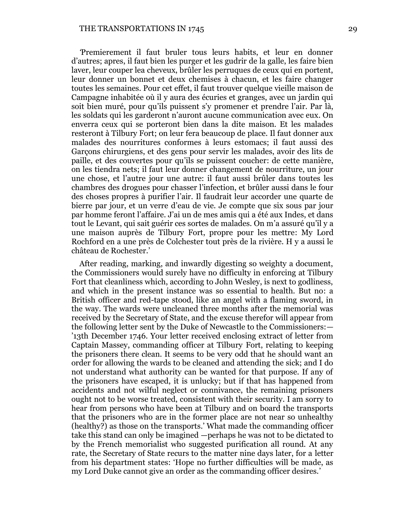*'*Premierement il faut bruler tous leurs habits, et leur en donner d"autres; apres, il faut bien les purger et les gudrir de la galle, les faire bien laver, leur couper lea cheveux, brûler les perruques de ceux qui en portent, leur donner un bonnet et deux chemises à chacun, et les faire changer toutes les semaines. Pour cet effet, il faut trouver quelque vieille maison de Campagne inhabitée où il y aura des écuries et granges, avec un jardin qui soit bien muré, pour qu'ils puissent s'y promener et prendre l'air. Par là, les soldats qui les garderont n"auront aucune communication avec eux. On enverra ceux qui se porteront bien dans la dite maison. Et les malades resteront à Tilbury Fort; on leur fera beaucoup de place. Il faut donner aux malades des nourritures conformes à leurs estomacs; il faut aussi des Garçons chirurgiens, et des gens pour servir les malades, avoir des lits de paille, et des couvertes pour qu"ils se puissent coucher: de cette manière, on les tiendra nets; il faut leur donner changement de nourriture, un jour une chose, et l"autre jour une autre: il faut aussi brûler dans toutes les chambres des drogues pour chasser l"infection, et brûler aussi dans le four des choses propres à purifier l"air. Il faudrait leur accorder une quarte de bierre par jour, et un verre d"eau de vie. Je compte que six sous par jour par homme feront l"affaire. J"ai un de mes amis qui a été aux Indes, et dans tout le Levant, qui sait guérir ces sortes de malades. On m"a assuré qu"il y a une maison auprès de Tilbury Fort, propre pour les mettre: My Lord Rochford en a une près de Colchester tout près de la rivière. H y a aussi le château de Rochester.'

After reading, marking, and inwardly digesting so weighty a document, the Commissioners would surely have no difficulty in enforcing at Tilbury Fort that cleanliness which, according to John Wesley, is next to godliness, and which in the present instance was so essential to health. But no: a British officer and red-tape stood, like an angel with a flaming sword, in the way. The wards were uncleaned three months after the memorial was received by the Secretary of State, and the excuse therefor will appear from the following letter sent by the Duke of Newcastle to the Commissioners:— "13th December 1746. Your letter received enclosing extract of letter from Captain Massey, commanding officer at Tilbury Fort, relating to keeping the prisoners there clean. It seems to be very odd that he should want an order for allowing the wards to be cleaned and attending the sick; and I do not understand what authority can be wanted for that purpose. If any of the prisoners have escaped, it is unlucky; but if that has happened from accidents and not wilful neglect or connivance, the remaining prisoners ought not to be worse treated, consistent with their security. I am sorry to hear from persons who have been at Tilbury and on board the transports that the prisoners who are in the former place are not near so unhealthy (healthy?) as those on the transports." What made the commanding officer take this stand can only be imagined —perhaps he was not to be dictated to by the French memorialist who suggested purification all round. At any rate, the Secretary of State recurs to the matter nine days later, for a letter from his department states: "Hope no further difficulties will be made, as my Lord Duke cannot give an order as the commanding officer desires."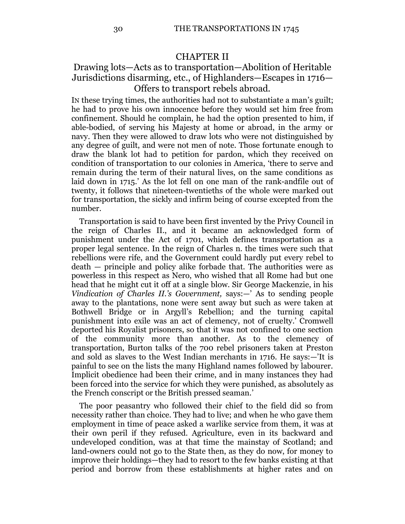#### CHAPTER II

#### <span id="page-29-0"></span>Drawing lots—Acts as to transportation—Abolition of Heritable Jurisdictions disarming, etc., of Highlanders—Escapes in 1716— Offers to transport rebels abroad.

IN these trying times, the authorities had not to substantiate a man"s guilt; he had to prove his own innocence before they would set him free from confinement. Should he complain, he had the option presented to him, if able-bodied, of serving his Majesty at home or abroad, in the army or navy. Then they were allowed to draw lots who were not distinguished by any degree of guilt, and were not men of note. Those fortunate enough to draw the blank lot had to petition for pardon, which they received on condition of transportation to our colonies in America, "there to serve and remain during the term of their natural lives, on the same conditions as laid down in 1715.' As the lot fell on one man of the rank-andfile out of twenty, it follows that nineteen-twentieths of the whole were marked out for transportation, the sickly and infirm being of course excepted from the number.

Transportation is said to have been first invented by the Privy Council in the reign of Charles II., and it became an acknowledged form of punishment under the Act of 1701, which defines transportation as a proper legal sentence. In the reign of Charles n. the times were such that rebellions were rife, and the Government could hardly put every rebel to death — principle and policy alike forbade that. The authorities were as powerless in this respect as Nero, who wished that all Rome had but one head that he might cut it off at a single blow. Sir George Mackenzie, in his *Vindication of Charles II.'s Government, says:* — As to sending people away to the plantations, none were sent away but such as were taken at Bothwell Bridge or in Argyll"s Rebellion; and the turning capital punishment into exile was an act of clemency, not of cruelty." Cromwell deported his Royalist prisoners, so that it was not confined to one section of the community more than another. As to the clemency of transportation, Burton talks of the 700 rebel prisoners taken at Preston and sold as slaves to the West Indian merchants in 1716. He says:—"It is painful to see on the lists the many Highland names followed by labourer. Implicit obedience had been their crime, and in many instances they had been forced into the service for which they were punished, as absolutely as the French conscript or the British pressed seaman."

The poor peasantry who followed their chief to the field did so from necessity rather than choice. They had to live; and when he who gave them employment in time of peace asked a warlike service from them, it was at their own peril if they refused. Agriculture, even in its backward and undeveloped condition, was at that time the mainstay of Scotland; and land-owners could not go to the State then, as they do now, for money to improve their holdings—they had to resort to the few banks existing at that period and borrow from these establishments at higher rates and on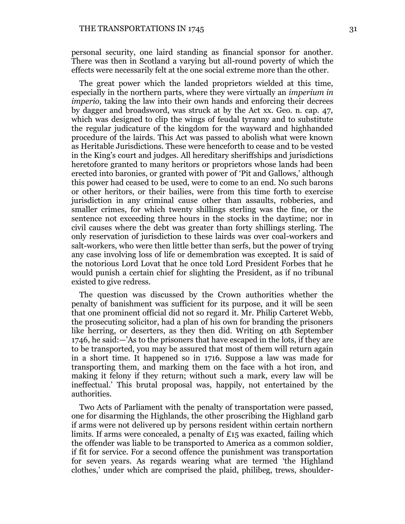personal security, one laird standing as financial sponsor for another. There was then in Scotland a varying but all-round poverty of which the effects were necessarily felt at the one social extreme more than the other.

The great power which the landed proprietors wielded at this time, especially in the northern parts, where they were virtually an *imperium in imperio,* taking the law into their own hands and enforcing their decrees by dagger and broadsword, was struck at by the Act xx. Geo. n. cap. 47, which was designed to clip the wings of feudal tyranny and to substitute the regular judicature of the kingdom for the wayward and highhanded procedure of the lairds. This Act was passed to abolish what were known as Heritable Jurisdictions. These were henceforth to cease and to be vested in the King"s court and judges. All hereditary sheriffships and jurisdictions heretofore granted to many heritors or proprietors whose lands had been erected into baronies, or granted with power of 'Pit and Gallows,' although this power had ceased to be used, were to come to an end. No such barons or other heritors, or their bailies, were from this time forth to exercise jurisdiction in any criminal cause other than assaults, robberies, and smaller crimes, for which twenty shillings sterling was the fine, or the sentence not exceeding three hours in the stocks in the daytime; nor in civil causes where the debt was greater than forty shillings sterling. The only reservation of jurisdiction to these lairds was over coal-workers and salt-workers, who were then little better than serfs, but the power of trying any case involving loss of life or demembration was excepted. It is said of the notorious Lord Lovat that he once told Lord President Forbes that he would punish a certain chief for slighting the President, as if no tribunal existed to give redress.

The question was discussed by the Crown authorities whether the penalty of banishment was sufficient for its purpose, and it will be seen that one prominent official did not so regard it. Mr. Philip Carteret Webb, the prosecuting solicitor, had a plan of his own for branding the prisoners like herring, or deserters, as they then did. Writing on 4th September 1746, he said:—"As to the prisoners that have escaped in the lots, if they are to be transported, you may be assured that most of them will return again in a short time. It happened so in 1716. Suppose a law was made for transporting them, and marking them on the face with a hot iron, and making it felony if they return; without such a mark, every law will be ineffectual." This brutal proposal was, happily, not entertained by the authorities.

Two Acts of Parliament with the penalty of transportation were passed, one for disarming the Highlands, the other proscribing the Highland garb if arms were not delivered up by persons resident within certain northern limits. If arms were concealed, a penalty of £15 was exacted, failing which the offender was liable to be transported to America as a common soldier, if fit for service. For a second offence the punishment was transportation for seven years. As regards wearing what are termed "the Highland clothes," under which are comprised the plaid, philibeg, trews, shoulder-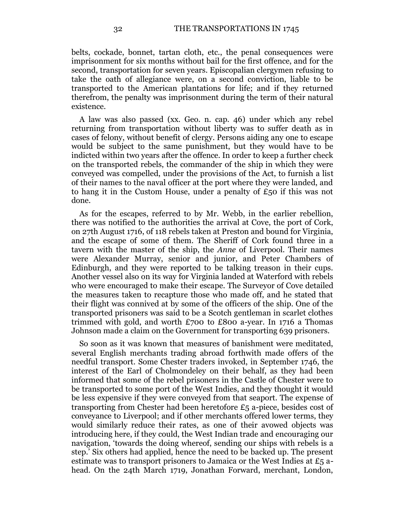belts, cockade, bonnet, tartan cloth, etc., the penal consequences were imprisonment for six months without bail for the first offence, and for the second, transportation for seven years. Episcopalian clergymen refusing to take the oath of allegiance were, on a second conviction, liable to be transported to the American plantations for life; and if they returned therefrom, the penalty was imprisonment during the term of their natural existence.

A law was also passed (xx. Geo. n. cap. 46) under which any rebel returning from transportation without liberty was to suffer death as in cases of felony, without benefit of clergy. Persons aiding any one to escape would be subject to the same punishment, but they would have to be indicted within two years after the offence. In order to keep a further check on the transported rebels, the commander of the ship in which they were conveyed was compelled, under the provisions of the Act, to furnish a list of their names to the naval officer at the port where they were landed, and to hang it in the Custom House, under a penalty of  $\epsilon_{50}$  if this was not done.

As for the escapes, referred to by Mr. Webb, in the earlier rebellion, there was notified to the authorities the arrival at Cove, the port of Cork, on 27th August 1716, of 118 rebels taken at Preston and bound for Virginia, and the escape of some of them. The Sheriff of Cork found three in a tavern with the master of the ship, the *Anne* of Liverpool. Their names were Alexander Murray, senior and junior, and Peter Chambers of Edinburgh, and they were reported to be talking treason in their cups. Another vessel also on its way for Virginia landed at Waterford with rebels who were encouraged to make their escape. The Surveyor of Cove detailed the measures taken to recapture those who made off, and he stated that their flight was connived at by some of the officers of the ship. One of the transported prisoners was said to be a Scotch gentleman in scarlet clothes trimmed with gold, and worth £700 to £800 a-year. In 1716 a Thomas Johnson made a claim on the Government for transporting 639 prisoners.

So soon as it was known that measures of banishment were meditated, several English merchants trading abroad forthwith made offers of the needful transport. Some Chester traders invoked, in September 1746, the interest of the Earl of Cholmondeley on their behalf, as they had been informed that some of the rebel prisoners in the Castle of Chester were to be transported to some port of the West Indies, and they thought it would be less expensive if they were conveyed from that seaport. The expense of transporting from Chester had been heretofore  $E_5$  a-piece, besides cost of conveyance to Liverpool; and if other merchants offered lower terms, they would similarly reduce their rates, as one of their avowed objects was introducing here, if they could, the West Indian trade and encouraging our navigation, "towards the doing whereof, sending our ships with rebels is a step." Six others had applied, hence the need to be backed up. The present estimate was to transport prisoners to Jamaica or the West Indies at  $\pounds_5$  ahead. On the 24th March 1719, Jonathan Forward, merchant, London,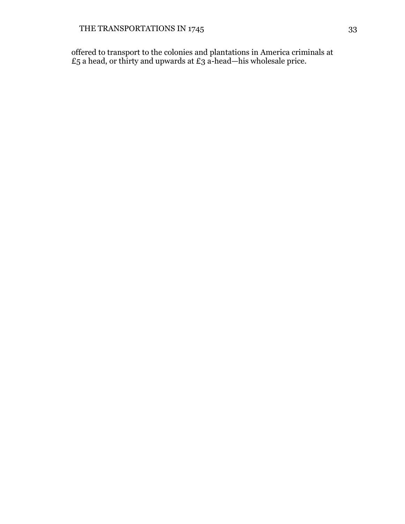offered to transport to the colonies and plantations in America criminals at  $\pounds$ <sub>5</sub> a head, or thirty and upwards at  $\pounds$ <sub>3</sub> a-head—his wholesale price.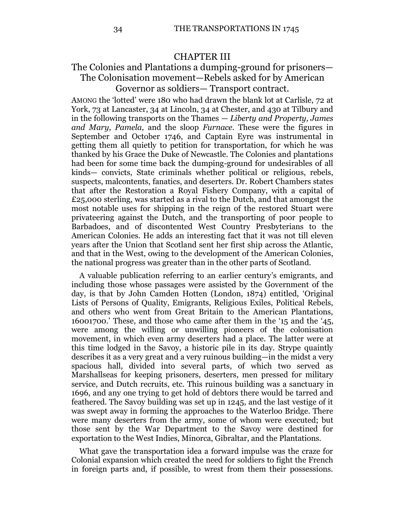#### CHAPTER III

# <span id="page-33-0"></span>The Colonies and Plantations a dumping-ground for prisoners— The Colonisation movement—Rebels asked for by American Governor as soldiers— Transport contract.

AMONG the "lotted" were 180 who had drawn the blank lot at Carlisle, 72 at York, 73 at Lancaster, 34 at Lincoln, 34 at Chester, and 430 at Tilbury and in the following transports on the Thames — *Liberty and Property, James and Mary, Pamela,* and the sloop *Furnace.* These were the figures in September and October 1746, and Captain Eyre was instrumental in getting them all quietly to petition for transportation, for which he was thanked by his Grace the Duke of Newcastle. The Colonies and plantations had been for some time back the dumping-ground for undesirables of all kinds— convicts, State criminals whether political or religious, rebels, suspects, malcontents, fanatics, and deserters. Dr. Robert Chambers states that after the Restoration a Royal Fishery Company, with a capital of £25,000 sterling, was started as a rival to the Dutch, and that amongst the most notable uses for shipping in the reign of the restored Stuart were privateering against the Dutch, and the transporting of poor people to Barbadoes, and of discontented West Country Presbyterians to the American Colonies. He adds an interesting fact that it was not till eleven years after the Union that Scotland sent her first ship across the Atlantic, and that in the West, owing to the development of the American Colonies, the national progress was greater than in the other parts of Scotland.

A valuable publication referring to an earlier century"s emigrants, and including those whose passages were assisted by the Government of the day, is that by John Camden Hotten (London, 1874) entitled, "Original Lists of Persons of Quality, Emigrants, Religious Exiles, Political Rebels, and others who went from Great Britain to the American Plantations, 16001700." These, and those who came after them in the "15 and the "45, were among the willing or unwilling pioneers of the colonisation movement, in which even army deserters had a place. The latter were at this time lodged in the Savoy, a historic pile in its day. Strype quaintly describes it as a very great and a very ruinous building—in the midst a very spacious hall, divided into several parts, of which two served as Marshallseas for keeping prisoners, deserters, men pressed for military service, and Dutch recruits, etc. This ruinous building was a sanctuary in 1696, and any one trying to get hold of debtors there would be tarred and feathered. The Savoy building was set up in 1245, and the last vestige of it was swept away in forming the approaches to the Waterloo Bridge. There were many deserters from the army, some of whom were executed; but those sent by the War Department to the Savoy were destined for exportation to the West Indies, Minorca, Gibraltar, and the Plantations.

What gave the transportation idea a forward impulse was the craze for Colonial expansion which created the need for soldiers to fight the French in foreign parts and, if possible, to wrest from them their possessions.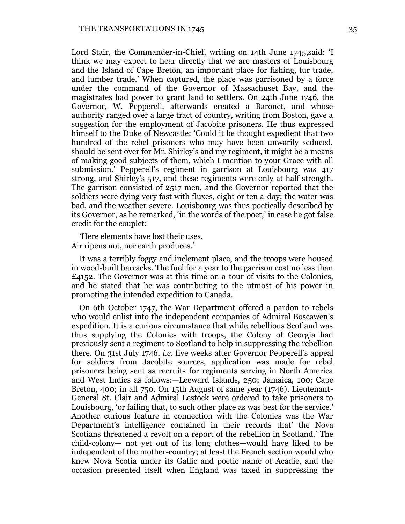Lord Stair, the Commander-in-Chief, writing on 14th June 1745, said: 'I think we may expect to hear directly that we are masters of Louisbourg and the Island of Cape Breton, an important place for fishing, fur trade, and lumber trade." When captured, the place was garrisoned by a force under the command of the Governor of Massachuset Bay, and the magistrates had power to grant land to settlers. On 24th June 1746, the Governor, W. Pepperell, afterwards created a Baronet, and whose authority ranged over a large tract of country, writing from Boston, gave a suggestion for the employment of Jacobite prisoners. He thus expressed himself to the Duke of Newcastle: "Could it be thought expedient that two hundred of the rebel prisoners who may have been unwarily seduced, should be sent over for Mr. Shirley"s and my regiment, it might be a means of making good subjects of them, which I mention to your Grace with all submission." Pepperell"s regiment in garrison at Louisbourg was 417 strong, and Shirley"s 517, and these regiments were only at half strength. The garrison consisted of 2517 men, and the Governor reported that the soldiers were dying very fast with fluxes, eight or ten a-day; the water was bad, and the weather severe. Louisbourg was thus poetically described by its Governor, as he remarked, 'in the words of the poet,' in case he got false credit for the couplet:

"Here elements have lost their uses, Air ripens not, nor earth produces.'

It was a terribly foggy and inclement place, and the troops were housed in wood-built barracks. The fuel for a year to the garrison cost no less than £4152. The Governor was at this time on a tour of visits to the Colonies, and he stated that he was contributing to the utmost of his power in promoting the intended expedition to Canada.

On 6th October 1747, the War Department offered a pardon to rebels who would enlist into the independent companies of Admiral Boscawen's expedition. It is a curious circumstance that while rebellious Scotland was thus supplying the Colonies with troops, the Colony of Georgia had previously sent a regiment to Scotland to help in suppressing the rebellion there. On 31st July 1746, *i.e.* five weeks after Governor Pepperell"s appeal for soldiers from Jacobite sources, application was made for rebel prisoners being sent as recruits for regiments serving in North America and West Indies as follows:—Leeward Islands, 250; Jamaica, 100; Cape Breton, 400; in all 750. On 15th August of same year (1746), Lieutenant-General St. Clair and Admiral Lestock were ordered to take prisoners to Louisbourg, 'or failing that, to such other place as was best for the service.' Another curious feature in connection with the Colonies was the War Department"s intelligence contained in their records that" the Nova Scotians threatened a revolt on a report of the rebellion in Scotland." The child-colony— not yet out of its long clothes—would have liked to be independent of the mother-country; at least the French section would who knew Nova Scotia under its Gallic and poetic name of Acadie, and the occasion presented itself when England was taxed in suppressing the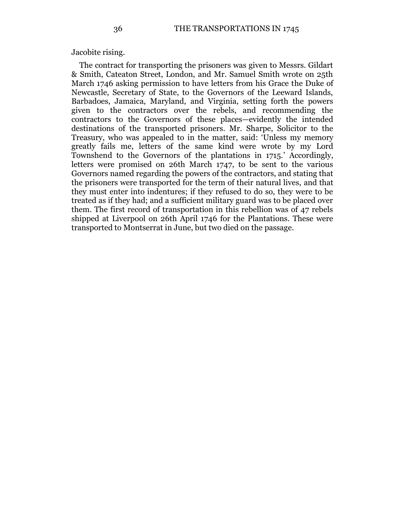Jacobite rising.

The contract for transporting the prisoners was given to Messrs. Gildart & Smith, Cateaton Street, London, and Mr. Samuel Smith wrote on 25th March 1746 asking permission to have letters from his Grace the Duke of Newcastle, Secretary of State, to the Governors of the Leeward Islands, Barbadoes, Jamaica, Maryland, and Virginia, setting forth the powers given to the contractors over the rebels, and recommending the contractors to the Governors of these places—evidently the intended destinations of the transported prisoners. Mr. Sharpe, Solicitor to the Treasury, who was appealed to in the matter, said: "Unless my memory greatly fails me, letters of the same kind were wrote by my Lord Townshend to the Governors of the plantations in 1715.' Accordingly, letters were promised on 26th March 1747, to be sent to the various Governors named regarding the powers of the contractors, and stating that the prisoners were transported for the term of their natural lives, and that they must enter into indentures; if they refused to do so, they were to be treated as if they had; and a sufficient military guard was to be placed over them. The first record of transportation in this rebellion was of 47 rebels shipped at Liverpool on 26th April 1746 for the Plantations. These were transported to Montserrat in June, but two died on the passage.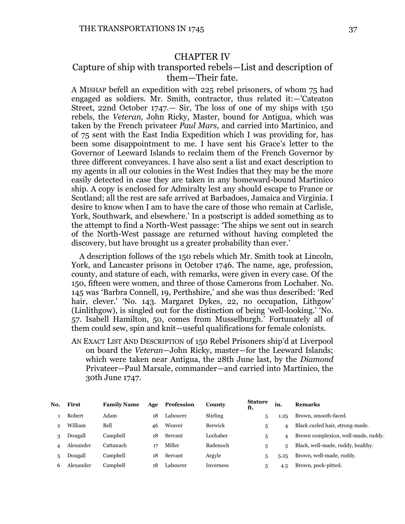#### CHAPTER IV

#### <span id="page-36-0"></span>Capture of ship with transported rebels—List and description of them—Their fate.

A MISHAP befell an expedition with 225 rebel prisoners, of whom 75 had engaged as soldiers. Mr. Smith, contractor, thus related it:—"Cateaton Street, 22nd October 1747.— Sir, The loss of one of my ships with 150 rebels, the *Veteran,* John Ricky, Master, bound for Antigua, which was taken by the French privateer *Paul Mars,* and carried into Martinico, and of 75 sent with the East India Expedition which I was providing for, has been some disappointment to me. I have sent his Grace"s letter to the Governor of Leeward Islands to reclaim them of the French Governor by three different conveyances. I have also sent a list and exact description to my agents in all our colonies in the West Indies that they may be the more easily detected in case they are taken in any homeward-bound Martinico ship. A copy is enclosed for Admiralty lest any should escape to France or Scotland; all the rest are safe arrived at Barbadoes, Jamaica and Virginia. I desire to know when I am to have the care of those who remain at Carlisle, York, Southwark, and elsewhere.' In a postscript is added something as to the attempt to find a North-West passage: "The ships we sent out in search of the North-West passage are returned without having completed the discovery, but have brought us a greater probability than ever.'

A description follows of the 150 rebels which Mr. Smith took at Lincoln, York, and Lancaster prisons in October 1746. The name, age, profession, county, and stature of each, with remarks, were given in every case. Of the 150, fifteen were women, and three of those Camerons from Lochaber. No. 145 was "Barbra Connell, 19, Perthshire," and she was thus described: "Red hair, clever. 'No. 143. Margaret Dykes, 22, no occupation, Lithgow' (Linlithgow), is singled out for the distinction of being "well-looking." "No. 57. Isabell Hamilton, 50, comes from Musselburgh." Fortunately all of them could sew, spin and knit—useful qualifications for female colonists.

AN EXACT LIST AND DESCRIPTION of 150 Rebel Prisoners ship"d at Liverpool on board the *Veteran*—John Ricky, master—for the Leeward Islands; which were taken near Antigua, the 28th June last, by the *Diamond*  Privateer—Paul Marsale, commander—and carried into Martinico, the 30th June 1747.

| No. | <b>First</b> | <b>Family Name</b> | Age | <b>Profession</b> | County           | <b>Stature</b><br>ft. | in.            | <b>Remarks</b>                      |
|-----|--------------|--------------------|-----|-------------------|------------------|-----------------------|----------------|-------------------------------------|
|     | Robert       | Adam               | 18  | Labourer          | Stirling         | 5                     | 1.25           | Brown, smooth-faced.                |
| 2   | William      | Bell               | 46  | Weaver            | Berwick          | 5                     | 4              | Black curled hair, strong-made.     |
| 3   | Dougall      | Campbell           | 18  | Servant           | Lochaber         | 5                     | $\overline{4}$ | Brown complexion, well-made, ruddy. |
|     | Alexander    | Cattanach          | 17  | Miller            | Badenoch         | 5                     | 5.             | Black, well-made, ruddy, healthy.   |
|     | Dougall      | Campbell           | 18  | Servant           | Argyle           | 5                     | 5.25           | Brown, well-made, ruddy.            |
| 6   | Alexander    | Campbell           | 18  | Labourer          | <b>Inverness</b> | 5                     | 4.5            | Brown, pock-pitted.                 |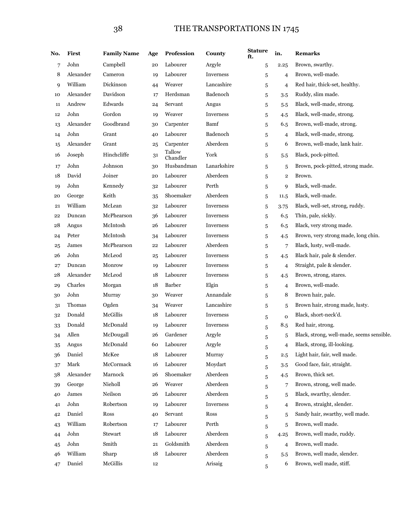# THE TRANSPORTATIONS IN 1745

| John<br>Campbell<br>Labourer<br>Argyle<br>Brown, swarthy.<br>7<br>20<br>5<br>2.25<br>Alexander<br>Brown, well-made.<br>Cameron<br>Labourer<br>Inverness<br>8<br>5<br>19<br>$\overline{4}$<br>Dickinson<br>William<br>Lancashire<br>Red hair, thick-set, healthy.<br>Weaver<br>9<br>44<br>5<br>$\overline{4}$<br>Davidson<br>Badenoch<br>Ruddy, slim made.<br>Alexander<br>Herdsman<br>5<br>10<br>17<br>3.5<br>Andrew<br>Edwards<br>Black, well-made, strong.<br>Servant<br>Angus<br>5.5<br>11<br>24<br>5<br>Gordon<br>John<br>Black, well-made, strong.<br>Weaver<br>Inverness<br>5<br>4.5<br>12<br>19<br>Goodbrand<br>Alexander<br>Bamf<br>Brown, well-made, strong.<br>Carpenter<br>6.5<br>13<br>30<br>5<br>Badenoch<br>John<br>Labourer<br>Black, well-made, strong.<br>Grant<br>5<br>14<br>40<br>$\overline{4}$<br>Alexander<br>Carpenter<br>Aberdeen<br>Brown, well-made, lank hair.<br>Grant<br>6<br>15<br>25<br>5<br>Tallow<br>York<br>Joseph<br>Hinchcliffe<br>Black, pock-pitted.<br>16<br>5<br>5.5<br>31<br>Chandler<br>Husbandman<br>Lanarkshire<br>John<br>Johnson<br>Brown, pock-pitted, strong made.<br>5<br>17<br>30<br>5<br>Aberdeen<br>David<br>Joiner<br>Labourer<br>18<br>Brown.<br>$\mathbf{2}$<br>20<br>5<br>Perth<br>Black, well-made.<br>John<br>Kennedy<br>Labourer<br>5<br>19<br>32<br>9<br>Keith<br>Black, well-made.<br>Shoemaker<br>Aberdeen<br>George<br>11.5<br>20<br>35<br>5<br>William<br>McLean<br>Labourer<br>Black, well-set, strong, ruddy.<br>Inverness<br>5<br>21<br>32<br>3.75<br>McPhearson<br>Labourer<br>Thin, pale, sickly.<br>Duncan<br>Inverness<br>6.5<br>36<br>22<br>5<br>McIntosh<br>Labourer<br>Black, very strong made.<br>28<br>Inverness<br>6.5<br>Angus<br>26<br>5<br>McIntosh<br>Labourer<br>Brown, very strong made, long chin.<br>Peter<br>Inverness<br>24<br>34<br>5<br>4.5<br>McPhearson<br>Labourer<br>Aberdeen<br>Black, lusty, well-made.<br>James<br>22<br>5<br>$\overline{7}$<br>25<br>John<br>McLeod<br>Black hair, pale & slender.<br>26<br>Labourer<br>Inverness<br>4.5<br>25<br>5<br>Straight, pale & slender.<br>Duncan<br>Monrow<br>Labourer<br>Inverness<br>5<br>27<br>19<br>$\overline{4}$<br>Alexander<br>McLeod<br>Labourer<br>28<br>18<br>Inverness<br>Brown, strong, stares.<br>5<br>4.5<br>Charles<br>Barber<br>Elgin<br>Brown, well-made.<br>Morgan<br>18<br>5<br>29<br>$\overline{4}$ |
|---------------------------------------------------------------------------------------------------------------------------------------------------------------------------------------------------------------------------------------------------------------------------------------------------------------------------------------------------------------------------------------------------------------------------------------------------------------------------------------------------------------------------------------------------------------------------------------------------------------------------------------------------------------------------------------------------------------------------------------------------------------------------------------------------------------------------------------------------------------------------------------------------------------------------------------------------------------------------------------------------------------------------------------------------------------------------------------------------------------------------------------------------------------------------------------------------------------------------------------------------------------------------------------------------------------------------------------------------------------------------------------------------------------------------------------------------------------------------------------------------------------------------------------------------------------------------------------------------------------------------------------------------------------------------------------------------------------------------------------------------------------------------------------------------------------------------------------------------------------------------------------------------------------------------------------------------------------------------------------------------------------------------------------------------------------------------------------------------------------------------------------------------------------------------------------------------------------------------------------------------------------------------------------------------------------------------------------------------------------------|
|                                                                                                                                                                                                                                                                                                                                                                                                                                                                                                                                                                                                                                                                                                                                                                                                                                                                                                                                                                                                                                                                                                                                                                                                                                                                                                                                                                                                                                                                                                                                                                                                                                                                                                                                                                                                                                                                                                                                                                                                                                                                                                                                                                                                                                                                                                                                                                     |
|                                                                                                                                                                                                                                                                                                                                                                                                                                                                                                                                                                                                                                                                                                                                                                                                                                                                                                                                                                                                                                                                                                                                                                                                                                                                                                                                                                                                                                                                                                                                                                                                                                                                                                                                                                                                                                                                                                                                                                                                                                                                                                                                                                                                                                                                                                                                                                     |
|                                                                                                                                                                                                                                                                                                                                                                                                                                                                                                                                                                                                                                                                                                                                                                                                                                                                                                                                                                                                                                                                                                                                                                                                                                                                                                                                                                                                                                                                                                                                                                                                                                                                                                                                                                                                                                                                                                                                                                                                                                                                                                                                                                                                                                                                                                                                                                     |
|                                                                                                                                                                                                                                                                                                                                                                                                                                                                                                                                                                                                                                                                                                                                                                                                                                                                                                                                                                                                                                                                                                                                                                                                                                                                                                                                                                                                                                                                                                                                                                                                                                                                                                                                                                                                                                                                                                                                                                                                                                                                                                                                                                                                                                                                                                                                                                     |
|                                                                                                                                                                                                                                                                                                                                                                                                                                                                                                                                                                                                                                                                                                                                                                                                                                                                                                                                                                                                                                                                                                                                                                                                                                                                                                                                                                                                                                                                                                                                                                                                                                                                                                                                                                                                                                                                                                                                                                                                                                                                                                                                                                                                                                                                                                                                                                     |
|                                                                                                                                                                                                                                                                                                                                                                                                                                                                                                                                                                                                                                                                                                                                                                                                                                                                                                                                                                                                                                                                                                                                                                                                                                                                                                                                                                                                                                                                                                                                                                                                                                                                                                                                                                                                                                                                                                                                                                                                                                                                                                                                                                                                                                                                                                                                                                     |
|                                                                                                                                                                                                                                                                                                                                                                                                                                                                                                                                                                                                                                                                                                                                                                                                                                                                                                                                                                                                                                                                                                                                                                                                                                                                                                                                                                                                                                                                                                                                                                                                                                                                                                                                                                                                                                                                                                                                                                                                                                                                                                                                                                                                                                                                                                                                                                     |
|                                                                                                                                                                                                                                                                                                                                                                                                                                                                                                                                                                                                                                                                                                                                                                                                                                                                                                                                                                                                                                                                                                                                                                                                                                                                                                                                                                                                                                                                                                                                                                                                                                                                                                                                                                                                                                                                                                                                                                                                                                                                                                                                                                                                                                                                                                                                                                     |
|                                                                                                                                                                                                                                                                                                                                                                                                                                                                                                                                                                                                                                                                                                                                                                                                                                                                                                                                                                                                                                                                                                                                                                                                                                                                                                                                                                                                                                                                                                                                                                                                                                                                                                                                                                                                                                                                                                                                                                                                                                                                                                                                                                                                                                                                                                                                                                     |
|                                                                                                                                                                                                                                                                                                                                                                                                                                                                                                                                                                                                                                                                                                                                                                                                                                                                                                                                                                                                                                                                                                                                                                                                                                                                                                                                                                                                                                                                                                                                                                                                                                                                                                                                                                                                                                                                                                                                                                                                                                                                                                                                                                                                                                                                                                                                                                     |
|                                                                                                                                                                                                                                                                                                                                                                                                                                                                                                                                                                                                                                                                                                                                                                                                                                                                                                                                                                                                                                                                                                                                                                                                                                                                                                                                                                                                                                                                                                                                                                                                                                                                                                                                                                                                                                                                                                                                                                                                                                                                                                                                                                                                                                                                                                                                                                     |
|                                                                                                                                                                                                                                                                                                                                                                                                                                                                                                                                                                                                                                                                                                                                                                                                                                                                                                                                                                                                                                                                                                                                                                                                                                                                                                                                                                                                                                                                                                                                                                                                                                                                                                                                                                                                                                                                                                                                                                                                                                                                                                                                                                                                                                                                                                                                                                     |
|                                                                                                                                                                                                                                                                                                                                                                                                                                                                                                                                                                                                                                                                                                                                                                                                                                                                                                                                                                                                                                                                                                                                                                                                                                                                                                                                                                                                                                                                                                                                                                                                                                                                                                                                                                                                                                                                                                                                                                                                                                                                                                                                                                                                                                                                                                                                                                     |
|                                                                                                                                                                                                                                                                                                                                                                                                                                                                                                                                                                                                                                                                                                                                                                                                                                                                                                                                                                                                                                                                                                                                                                                                                                                                                                                                                                                                                                                                                                                                                                                                                                                                                                                                                                                                                                                                                                                                                                                                                                                                                                                                                                                                                                                                                                                                                                     |
|                                                                                                                                                                                                                                                                                                                                                                                                                                                                                                                                                                                                                                                                                                                                                                                                                                                                                                                                                                                                                                                                                                                                                                                                                                                                                                                                                                                                                                                                                                                                                                                                                                                                                                                                                                                                                                                                                                                                                                                                                                                                                                                                                                                                                                                                                                                                                                     |
|                                                                                                                                                                                                                                                                                                                                                                                                                                                                                                                                                                                                                                                                                                                                                                                                                                                                                                                                                                                                                                                                                                                                                                                                                                                                                                                                                                                                                                                                                                                                                                                                                                                                                                                                                                                                                                                                                                                                                                                                                                                                                                                                                                                                                                                                                                                                                                     |
|                                                                                                                                                                                                                                                                                                                                                                                                                                                                                                                                                                                                                                                                                                                                                                                                                                                                                                                                                                                                                                                                                                                                                                                                                                                                                                                                                                                                                                                                                                                                                                                                                                                                                                                                                                                                                                                                                                                                                                                                                                                                                                                                                                                                                                                                                                                                                                     |
|                                                                                                                                                                                                                                                                                                                                                                                                                                                                                                                                                                                                                                                                                                                                                                                                                                                                                                                                                                                                                                                                                                                                                                                                                                                                                                                                                                                                                                                                                                                                                                                                                                                                                                                                                                                                                                                                                                                                                                                                                                                                                                                                                                                                                                                                                                                                                                     |
|                                                                                                                                                                                                                                                                                                                                                                                                                                                                                                                                                                                                                                                                                                                                                                                                                                                                                                                                                                                                                                                                                                                                                                                                                                                                                                                                                                                                                                                                                                                                                                                                                                                                                                                                                                                                                                                                                                                                                                                                                                                                                                                                                                                                                                                                                                                                                                     |
|                                                                                                                                                                                                                                                                                                                                                                                                                                                                                                                                                                                                                                                                                                                                                                                                                                                                                                                                                                                                                                                                                                                                                                                                                                                                                                                                                                                                                                                                                                                                                                                                                                                                                                                                                                                                                                                                                                                                                                                                                                                                                                                                                                                                                                                                                                                                                                     |
|                                                                                                                                                                                                                                                                                                                                                                                                                                                                                                                                                                                                                                                                                                                                                                                                                                                                                                                                                                                                                                                                                                                                                                                                                                                                                                                                                                                                                                                                                                                                                                                                                                                                                                                                                                                                                                                                                                                                                                                                                                                                                                                                                                                                                                                                                                                                                                     |
|                                                                                                                                                                                                                                                                                                                                                                                                                                                                                                                                                                                                                                                                                                                                                                                                                                                                                                                                                                                                                                                                                                                                                                                                                                                                                                                                                                                                                                                                                                                                                                                                                                                                                                                                                                                                                                                                                                                                                                                                                                                                                                                                                                                                                                                                                                                                                                     |
|                                                                                                                                                                                                                                                                                                                                                                                                                                                                                                                                                                                                                                                                                                                                                                                                                                                                                                                                                                                                                                                                                                                                                                                                                                                                                                                                                                                                                                                                                                                                                                                                                                                                                                                                                                                                                                                                                                                                                                                                                                                                                                                                                                                                                                                                                                                                                                     |
| John<br>Annandale<br>8<br>Brown hair, pale.<br>Murray<br>Weaver<br>5<br>30<br>30                                                                                                                                                                                                                                                                                                                                                                                                                                                                                                                                                                                                                                                                                                                                                                                                                                                                                                                                                                                                                                                                                                                                                                                                                                                                                                                                                                                                                                                                                                                                                                                                                                                                                                                                                                                                                                                                                                                                                                                                                                                                                                                                                                                                                                                                                    |
| Ogden<br>Lancashire<br>Brown hair, strong made, lusty.<br>Thomas<br>Weaver<br>5<br>31<br>34<br>5                                                                                                                                                                                                                                                                                                                                                                                                                                                                                                                                                                                                                                                                                                                                                                                                                                                                                                                                                                                                                                                                                                                                                                                                                                                                                                                                                                                                                                                                                                                                                                                                                                                                                                                                                                                                                                                                                                                                                                                                                                                                                                                                                                                                                                                                    |
| McGillis<br>Donald<br>Labourer<br>Black, short-neck'd.<br>18<br>Inverness<br>32<br>$\mathbf 0$<br>5                                                                                                                                                                                                                                                                                                                                                                                                                                                                                                                                                                                                                                                                                                                                                                                                                                                                                                                                                                                                                                                                                                                                                                                                                                                                                                                                                                                                                                                                                                                                                                                                                                                                                                                                                                                                                                                                                                                                                                                                                                                                                                                                                                                                                                                                 |
| Donald<br>McDonald<br>Red hair, strong.<br>Labourer<br>Inverness<br>8.5<br>33<br>19<br>5                                                                                                                                                                                                                                                                                                                                                                                                                                                                                                                                                                                                                                                                                                                                                                                                                                                                                                                                                                                                                                                                                                                                                                                                                                                                                                                                                                                                                                                                                                                                                                                                                                                                                                                                                                                                                                                                                                                                                                                                                                                                                                                                                                                                                                                                            |
| Allen<br>Gardener<br>McDougall<br>Black, strong, well-made, seems sensible.<br>26<br>Argyle<br>34<br>5<br>5                                                                                                                                                                                                                                                                                                                                                                                                                                                                                                                                                                                                                                                                                                                                                                                                                                                                                                                                                                                                                                                                                                                                                                                                                                                                                                                                                                                                                                                                                                                                                                                                                                                                                                                                                                                                                                                                                                                                                                                                                                                                                                                                                                                                                                                         |
| McDonald<br>Black, strong, ill-looking.<br>60 Labourer<br>Argyle<br>Angus<br>35<br>4<br>5                                                                                                                                                                                                                                                                                                                                                                                                                                                                                                                                                                                                                                                                                                                                                                                                                                                                                                                                                                                                                                                                                                                                                                                                                                                                                                                                                                                                                                                                                                                                                                                                                                                                                                                                                                                                                                                                                                                                                                                                                                                                                                                                                                                                                                                                           |
| McKee<br>Labourer<br>Light hair, fair, well made.<br>Daniel<br>Murray<br>18<br>36<br>2.5<br>5                                                                                                                                                                                                                                                                                                                                                                                                                                                                                                                                                                                                                                                                                                                                                                                                                                                                                                                                                                                                                                                                                                                                                                                                                                                                                                                                                                                                                                                                                                                                                                                                                                                                                                                                                                                                                                                                                                                                                                                                                                                                                                                                                                                                                                                                       |
| Mark<br>McCormack<br>Labourer<br>Moydart<br>Good face, fair, straight.<br>16<br>$3.5\,$<br>37<br>5                                                                                                                                                                                                                                                                                                                                                                                                                                                                                                                                                                                                                                                                                                                                                                                                                                                                                                                                                                                                                                                                                                                                                                                                                                                                                                                                                                                                                                                                                                                                                                                                                                                                                                                                                                                                                                                                                                                                                                                                                                                                                                                                                                                                                                                                  |
| Alexander<br>Marnock<br>Shoemaker<br>Aberdeen<br>Brown, thick set.<br>26<br>38<br>4.5<br>5                                                                                                                                                                                                                                                                                                                                                                                                                                                                                                                                                                                                                                                                                                                                                                                                                                                                                                                                                                                                                                                                                                                                                                                                                                                                                                                                                                                                                                                                                                                                                                                                                                                                                                                                                                                                                                                                                                                                                                                                                                                                                                                                                                                                                                                                          |
| Nieholl<br>Aberdeen<br>Brown, strong, well made.<br>George<br>Weaver<br>26<br>7<br>39<br>5                                                                                                                                                                                                                                                                                                                                                                                                                                                                                                                                                                                                                                                                                                                                                                                                                                                                                                                                                                                                                                                                                                                                                                                                                                                                                                                                                                                                                                                                                                                                                                                                                                                                                                                                                                                                                                                                                                                                                                                                                                                                                                                                                                                                                                                                          |
| Neilson<br>Aberdeen<br>Black, swarthy, slender.<br>Labourer<br>James<br>26<br>40<br>5<br>5                                                                                                                                                                                                                                                                                                                                                                                                                                                                                                                                                                                                                                                                                                                                                                                                                                                                                                                                                                                                                                                                                                                                                                                                                                                                                                                                                                                                                                                                                                                                                                                                                                                                                                                                                                                                                                                                                                                                                                                                                                                                                                                                                                                                                                                                          |
| Brown, straight, slender.<br>John<br>Robertson<br>Labourer<br>Inverness<br>41<br>19<br>$\overline{4}$<br>5                                                                                                                                                                                                                                                                                                                                                                                                                                                                                                                                                                                                                                                                                                                                                                                                                                                                                                                                                                                                                                                                                                                                                                                                                                                                                                                                                                                                                                                                                                                                                                                                                                                                                                                                                                                                                                                                                                                                                                                                                                                                                                                                                                                                                                                          |
| Sandy hair, swarthy, well made.<br>Daniel<br>Servant<br>Ross<br>Ross<br>42<br>40<br>5<br>5                                                                                                                                                                                                                                                                                                                                                                                                                                                                                                                                                                                                                                                                                                                                                                                                                                                                                                                                                                                                                                                                                                                                                                                                                                                                                                                                                                                                                                                                                                                                                                                                                                                                                                                                                                                                                                                                                                                                                                                                                                                                                                                                                                                                                                                                          |
| William<br>Robertson<br>Perth<br>Brown, well made.<br>Labourer<br>43<br>17<br>5<br>5                                                                                                                                                                                                                                                                                                                                                                                                                                                                                                                                                                                                                                                                                                                                                                                                                                                                                                                                                                                                                                                                                                                                                                                                                                                                                                                                                                                                                                                                                                                                                                                                                                                                                                                                                                                                                                                                                                                                                                                                                                                                                                                                                                                                                                                                                |
| Aberdeen<br>Brown, well made, ruddy.<br>John<br>Stewart<br>Labourer<br>18<br>4.25<br>44<br>5                                                                                                                                                                                                                                                                                                                                                                                                                                                                                                                                                                                                                                                                                                                                                                                                                                                                                                                                                                                                                                                                                                                                                                                                                                                                                                                                                                                                                                                                                                                                                                                                                                                                                                                                                                                                                                                                                                                                                                                                                                                                                                                                                                                                                                                                        |
| Smith<br>Goldsmith<br>Aberdeen<br>Brown, well made.<br>John<br>21<br>45<br>$\overline{4}$<br>5                                                                                                                                                                                                                                                                                                                                                                                                                                                                                                                                                                                                                                                                                                                                                                                                                                                                                                                                                                                                                                                                                                                                                                                                                                                                                                                                                                                                                                                                                                                                                                                                                                                                                                                                                                                                                                                                                                                                                                                                                                                                                                                                                                                                                                                                      |
| William<br>Aberdeen<br>Brown, well made, slender.<br>Sharp<br>Labourer<br>18<br>46<br>5.5<br>5                                                                                                                                                                                                                                                                                                                                                                                                                                                                                                                                                                                                                                                                                                                                                                                                                                                                                                                                                                                                                                                                                                                                                                                                                                                                                                                                                                                                                                                                                                                                                                                                                                                                                                                                                                                                                                                                                                                                                                                                                                                                                                                                                                                                                                                                      |
| Arisaig<br>Daniel<br>McGillis<br>Brown, well made, stiff.<br>12<br>6<br>47<br>5                                                                                                                                                                                                                                                                                                                                                                                                                                                                                                                                                                                                                                                                                                                                                                                                                                                                                                                                                                                                                                                                                                                                                                                                                                                                                                                                                                                                                                                                                                                                                                                                                                                                                                                                                                                                                                                                                                                                                                                                                                                                                                                                                                                                                                                                                     |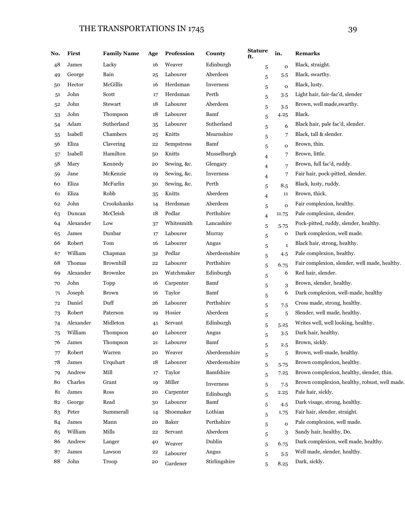# THE TRANSPORTATIONS IN 1745 39

| No. | First     | <b>Family Name</b> | Age | Profession  | County        | <b>Stature</b><br>ft. | in.          | <b>Remarks</b>                                |  |  |
|-----|-----------|--------------------|-----|-------------|---------------|-----------------------|--------------|-----------------------------------------------|--|--|
| 48  | James     | Lacky              | 16  | Weaver      | Edinburgh     | 5                     | $\mathbf{o}$ | Black, straight.                              |  |  |
| 49  | George    | Bain               | 25  | Labourer    | Aberdeen      | 5                     | 5.5          | Black, swarthy.                               |  |  |
| 50  | Hector    | McGillis           | 16  | Herdsman    | Inverness     | 5                     | $\mathbf 0$  | Black, lusty.                                 |  |  |
| 51  | John      | Scott              | 17  | Herdsman    | Perth         | 5                     | 3.5          | Light hair, fair-fac'd, slender               |  |  |
| 52  | John      | Stewart            | 18  | Labourer    | Aberdeen      | 5                     | 3.5          | Brown, well made, swarthy.                    |  |  |
| 53  | John      | Thompson           | 18  | Labourer    | Bamf          | 5                     | 4.25         | Black.                                        |  |  |
| 54  | Adam      | Sutherland         | 35  | Labourer    | Sutherland    | 5                     | 6            | Black hair, pale fac'd, slender.              |  |  |
| 55  | Isabell   | Chambers           | 25  | Knitts      | Mearnshire    | 5                     | 7            | Black, tall & slender.                        |  |  |
| 56  | Eliza     | Clavering          | 22  | Sempstress  | Bamf          | 5                     | $\mathbf 0$  | Brown, thin.                                  |  |  |
| 57  | Isabell   | Hamilton           | 50  | Knitts      | Musselburgh   | 4                     | 7            | Brown, little.                                |  |  |
| 58  | Mary      | Kennedy            | 20  | Sewing, &c. | Glengary      | 4                     | 7            | Brown, full fac'd, ruddy.                     |  |  |
| 59  | Jane      | McKenzie           | 19  | Sewing, &c. | Inverness     | 4                     | 7            | Fair hair, pock-pitted, slender.              |  |  |
| 60  | Eliza     | McFarlin           | 30  | Sewing, &c. | Perth         | 5                     | 8.5          | Black, lusty, ruddy.                          |  |  |
| 61  | Eliza     | Robb               | 35  | Knitts      | Aberdeen      | $\overline{4}$        | 11           | Brown, thick.                                 |  |  |
| 62  | John      | Crookshanks        | 14  | Herdsman    | Aberdeen      | 5                     | $\mathbf 0$  | Fair complexion, healthy.                     |  |  |
| 63  | Duncan    | McCleish           | 18  | Pedlar      | Perthshire    | $\overline{4}$        | 11.75        | Pale complexion, slender.                     |  |  |
| 64  | Alexander | Low                | 37  | Whitesmith  | Lancashire    | 5                     | 5.75         | Pock-pitted, ruddy, slender, healthy.         |  |  |
| 65  | James     | Dunbar             | 17  | Labourer    | Murray        | 5                     | $\mathbf 0$  | Dark complexion, well made.                   |  |  |
| 66  | Robert    | Tom                | 16  | Labourer    | Angus         | 5                     | $\mathbf 1$  | Black hair, strong, healthy.                  |  |  |
| 67  | William   | Chapman            | 32  | Pedlar      | Aberdeenshire | 5                     | 4.5          | Pale complexion, healthy.                     |  |  |
| 68  | Thomas    | Brownhill          | 22  | Labourer    | Perthshire    | 5                     | 6.75         | Fair complexion, slender, well made, healthy. |  |  |
| 69  | Alexander | <b>Brownlee</b>    | 20  | Watchmaker  | Edinburgh     | 5                     | 6            | Red hair, slender.                            |  |  |
| 70  | John      | Topp               | 16  | Carpenter   | Bamf          | 5                     | 3            | Brown, slender, healthy.                      |  |  |
| 71  | Joseph    | Brown              | 16  | Taylor      | Bamf          | 5                     | 6            | Dark complexion, well-made, healthy           |  |  |
| 72  | Daniel    | Duff               | 26  | Labourer    | Perthshire    | 5                     | 7.5          | Cross made, strong, healthy.                  |  |  |
| 73  | Robert    | Paterson           | 19  | Hosier      | Aberdeen      | 5                     | 5            | Slender, well made, healthy.                  |  |  |
| 74  | Alexander | Midleton           | 41  | Servant     | Edinburgh     | 5                     | 5.25         | Writes well, well looking, healthy.           |  |  |
| 75  | William   | Thompson           | 40  | Labourer    | Angus         | 5                     | 3.5          | Dark hair, healthy.                           |  |  |
| 76  | James     | Thompson           | 21  | Labourer    | Bamf          | 5                     | $2.5\,$      | Brown, sickly.                                |  |  |
| 77  | Robert    | Warren             | 20  | Weaver      | Aberdeenshire | 5                     | 5            | Brown, well-made, healthy.                    |  |  |
| 78  | James     | Urquhart           | 18  | Labourer    | Aberdeenshire |                       | 5.75         | Brown complexion, healthy.                    |  |  |
| 79  | Andrew    | Mill               | 17  | Taylor      | Bamfshire     | 5<br>5                | 7.25         | Brown complexion, healthy, slender, thin.     |  |  |
| 80  | Charles   | Grant              | 19  | Miller      | Inverness     |                       | $7.5\,$      | Brown complexion, healthy, robust, well made. |  |  |
| 81  | James     | Ross               | 20  | Carpenter   | Edinburgh     | 5<br>5                | 2.25         | Pale hair, sickly.                            |  |  |
| 82  | George    | Read               | 30  | Labourer    | Bamf          |                       | 4.5          | Dark visage, strong, healthy.                 |  |  |
| 83  | Peter     | Summerall          | 14  | Shoemaker   | Lothian       | 5<br>5                | 1.75         | Fair hair, slender, straight.                 |  |  |
| 84  | James     | Mann               | 20  | Baker       | Perthshire    |                       | $\mathbf{o}$ | Pale complexion, well made.                   |  |  |
| 85  | William   | Mills              | 22  | Servant     | Aberdeen      | 5                     | 3            | Sandy hair, healthy, Do.                      |  |  |
| 86  | Andrew    | Langer             | 40  | Weaver      | Dublin        | 5                     | 6.75         | Dark complexion, well made, healthy.          |  |  |
| 87  | James     | Lawson             | 22  | Labourer    | Angus         | 5                     | 5.5          | Well made, slender, healthy.                  |  |  |
| 88  | John      | Troop              | 20  | Gardener    | Stirlingshire | 5                     | 8.25         | Dark, sickly.                                 |  |  |
|     |           |                    |     |             |               | 5                     |              |                                               |  |  |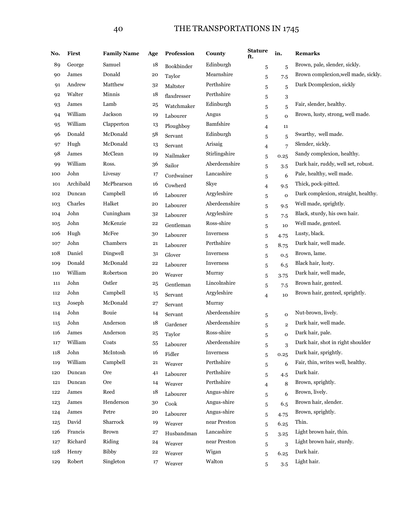# THE TRANSPORTATIONS IN 1745

| No. | <b>First</b> | <b>Family Name</b> | Age | Profession      | County        | <b>Stature</b><br>ft. | in.            | <b>Remarks</b>                       |
|-----|--------------|--------------------|-----|-----------------|---------------|-----------------------|----------------|--------------------------------------|
| 89  | George       | Samuel             | 18  | Bookbinder      | Edinburgh     | 5                     | 5              | Brown, pale, slender, sickly.        |
| 90  | James        | Donald             | 20  | Taylor          | Mearnshire    | 5                     | 7.5            | Brown complexion, well made, sickly. |
| 91  | Andrew       | Matthew            | 32  | Maltster        | Perthshire    | 5                     | 5              | Dark Dcomplexion, sickly             |
| 92  | Walter       | Minnis             | 18  | flaxdresser     | Perthshire    | 5                     | 3              |                                      |
| 93  | James        | Lamb               | 25  | Watchmaker      | Edinburgh     | 5                     | 5              | Fair, slender, healthy.              |
| 94  | William      | Jackson            | 19  | Labourer        | Angus         | 5                     | $\mathbf{o}$   | Brown, lusty, strong, well made.     |
| 95  | William      | Clapperton         | 13  | Ploughboy       | Bamfshire     | 4                     | 11             |                                      |
| 96  | Donald       | McDonald           | 58  | Servant         | Edinburgh     | 5                     | 5              | Swarthy, well made.                  |
| 97  | Hugh         | McDonald           | 13  | Servant         | Arisaig       | 4                     | 7              | Slender, sickly.                     |
| 98  | James        | McClean            | 19  | Nailmaker       | Stirlingshire | 5                     | 0.25           | Sandy complexion, healthy.           |
| 99  | William      | Ross.              | 36  | Sailor          | Aberdeenshire | 5                     | 3.5            | Dark hair, ruddy, well set, robust.  |
| 100 | John         | Livesay            | 17  | Cordwainer      | Lancashire    | 5                     | 6              | Pale, healthy, well made.            |
| 101 | Archibald    | McPhearson         | 16  | Cowherd         | Skye          | 4                     | 9.5            | Thick, pock-pitted.                  |
| 102 | Duncan       | Campbell           | 16  | Labourer        | Argyleshire   | 5                     | $\mathbf 0$    | Dark complexion, straight, healthy.  |
| 103 | Charles      | Halket             | 20  | Labourer        | Aberdeenshire | 5                     | 9.5            | Well made, sprightly.                |
| 104 | John         | Cuningham          | 32  | Labourer        | Argyleshire   | 5                     | 7.5            | Black, sturdy, his own hair.         |
| 105 | John         | McKenzie           | 22  | Gentleman       | Ross-shire    | 5                     | 10             | Well made, genteel.                  |
| 106 | Hugh         | McFee              | 30  | Labourer        | Inverness     | 5                     | 4.75           | Lusty, black.                        |
| 107 | John         | Chambers           | 21  | Labourer        | Perthshire    | 5                     | 8.75           | Dark hair, well made.                |
| 108 | Daniel       | Dingwell           | 31  | Glover          | Inverness     | 5                     | 0.5            | Brown, lame.                         |
| 109 | Donald       | McDonald           | 22  | Labourer        | Inverness     | 5                     | 6.5            | Black hair, lusty.                   |
| 110 | William      | Robertson          | 20  | Weaver          | Murray        | 5                     | 3.75           | Dark hair, well made,                |
| 111 | John         | Ostler             | 25  | Gentleman       | Lincolnshire  | 5                     | 7.5            | Brown hair, genteel.                 |
| 112 | John         | Campbell           | 15  | Servant         | Argyleshire   | 4                     | 10             | Brown hair, genteel, sprightly.      |
| 113 | Joseph       | McDonald           | 27  | Servant         | Murray        |                       |                |                                      |
| 114 | John         | Bouie              | 14  | Servant         | Aberdeenshire | 5                     | $\mathbf{o}$   | Nut-brown, lively.                   |
| 115 | John         | Anderson           | 18  | Gardener        | Aberdeenshire | 5                     | $\overline{2}$ | Dark hair, well made.                |
| 116 | James        | Anderson           | 25  | Taylor          | Ross-shire    | 5                     | $\mathbf{o}$   | Dark hair, pale.                     |
| 117 | William      | Coats              | 55  | Labourer        | Aberdeenshire | 5                     | 3              | Dark hair, shot in right shoulder    |
| 118 | John         | McIntosh           | 16  | Fidler          | Inverness     | 5                     | 0.25           | Dark hair, sprightly.                |
| 119 | William      | Campbell           | 21  | Weaver          | Perthshire    | $\sqrt{5}$            | 6              | Fair, thin, writes well, healthy.    |
| 120 | Duncan       | <b>Ore</b>         | 41  | Labourer        | Perthshire    | 5                     | 4.5            | Dark hair.                           |
| 121 | Duncan       | Ore                | 14  | Weaver          | Perthshire    | 4                     | 8              | Brown, sprightly.                    |
| 122 | James        | Reed               | 18  | Labourer        | Angus-shire   | 5                     | 6              | Brown, lively.                       |
| 123 | James        | Henderson          | 30  | $\mathrm{Cook}$ | Angus-shire   | 5                     | 6.5            | Brown hair, slender.                 |
| 124 | James        | Petre              | 20  | Labourer        | Angus-shire   | 5                     | 4.75           | Brown, sprightly.                    |
| 125 | David        | Sharrock           | 19  | Weaver          | near Preston  | 5                     | 6.25           | Thin.                                |
| 126 | Francis      | <b>Brown</b>       | 27  | Husbandman      | Lancashire    | 5                     | 3.25           | Light brown hair, thin.              |
| 127 | Richard      | Riding             | 24  | Weaver          | near Preston  | 5                     | 3              | Light brown hair, sturdy.            |
| 128 | Henry        | <b>Bibby</b>       | 22  | Weaver          | Wigan         | 5                     | 6.25           | Dark hair.                           |
|     |              |                    |     |                 | Walton        |                       |                | Light hair.                          |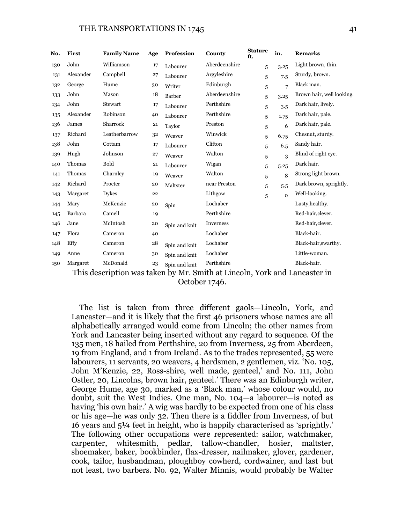#### THE TRANSPORTATIONS IN 1745

| No. | <b>First</b> | <b>Family Name</b> | Age | Profession    | County        | <b>Stature</b><br>ft. | in.            | <b>Remarks</b>            |
|-----|--------------|--------------------|-----|---------------|---------------|-----------------------|----------------|---------------------------|
| 130 | John         | Williamson         | 17  | Labourer      | Aberdeenshire | 5                     | 3.25           | Light brown, thin.        |
| 131 | Alexander    | Campbell           | 27  | Labourer      | Argyleshire   | 5                     | 7.5            | Sturdy, brown.            |
| 132 | George       | Hume               | 30  | Writer        | Edinburgh     | 5                     | $\overline{7}$ | Black man.                |
| 133 | John         | Mason              | 18  | Barber        | Aberdeenshire | 5                     | 3.25           | Brown hair, well looking. |
| 134 | John         | Stewart            | 17  | Labourer      | Perthshire    | 5                     | 3.5            | Dark hair, lively.        |
| 135 | Alexander    | Robinson           | 40  | Labourer      | Perthshire    | 5                     | 1.75           | Dark hair, pale.          |
| 136 | James        | Sharrock           | 21  | Taylor        | Preston       | 5                     | 6              | Dark hair, pale.          |
| 137 | Richard      | Leatherbarrow      | 32  | Weaver        | Winwick       | 5                     | 6.75           | Chesnut, sturdy.          |
| 138 | John         | Cottam             | 17  | Labourer      | Clifton       | 5                     | 6.5            | Sandy hair.               |
| 139 | Hugh         | Johnson            | 27  | Weaver        | Walton        | 5                     | 3              | Blind of right eye.       |
| 140 | Thomas       | <b>Bold</b>        | 21  | Labourer      | Wigan         | 5                     | 5.25           | Dark hair.                |
| 141 | Thomas       | Charnley           | 19  | Weaver        | Walton        | 5                     | 8              | Strong light brown.       |
| 142 | Richard      | Procter            | 20  | Maltster      | near Preston  | 5                     | 5.5            | Dark brown, sprightly.    |
| 143 | Margaret     | <b>Dykes</b>       | 22  |               | Lithgow       | 5                     | $\mathbf 0$    | Well-looking.             |
| 144 | Mary         | McKenzie           | 20  | Spin          | Lochaber      |                       |                | Lusty, healthy.           |
| 145 | Barbara      | Camell             | 19  |               | Perthshire    |                       |                | Red-hair, clever.         |
| 146 | Jane         | McIntosh           | 20  | Spin and knit | Inverness     |                       |                | Red-hair, clever.         |
| 147 | Flora        | Cameron            | 40  |               | Lochaber      |                       |                | Black-hair.               |
| 148 | Effy         | Cameron            | 28  | Spin and knit | Lochaber      |                       |                | Black-hair, swarthy.      |
| 149 | Anne         | Cameron            | 30  | Spin and knit | Lochaber      |                       |                | Little-woman.             |
| 150 | Margaret     | McDonald           | 23  | Spin and knit | Perthshire    |                       |                | Black-hair.               |
|     |              |                    |     |               |               |                       |                |                           |

This description was taken by Mr. Smith at Lincoln, York and Lancaster in October 1746.

The list is taken from three different gaols—Lincoln, York, and Lancaster—and it is likely that the first 46 prisoners whose names are all alphabetically arranged would come from Lincoln; the other names from York and Lancaster being inserted without any regard to sequence. Of the 135 men, 18 hailed from Perthshire, 20 from Inverness, 25 from Aberdeen, 19 from England, and 1 from Ireland. As to the trades represented, 55 were labourers, 11 servants, 20 weavers, 4 herdsmen, 2 gentlemen, viz. "No. 105, John M'Kenzie, 22, Ross-shire, well made, genteel,' and No. 111, John Ostler, 20, Lincolns, brown hair, genteel." There was an Edinburgh writer, George Hume, age 30, marked as a "Black man," whose colour would, no doubt, suit the West Indies. One man, No. 104—a labourer—is noted as having 'his own hair.' A wig was hardly to be expected from one of his class or his age—he was only 32. Then there is a fiddler from Inverness, of but 16 years and 5¼ feet in height, who is happily characterised as "sprightly." The following other occupations were represented: sailor, watchmaker, carpenter, whitesmith, pedlar, tallow-chandler, hosier, maltster, shoemaker, baker, bookbinder, flax-dresser, nailmaker, glover, gardener, cook, tailor, husbandman, ploughboy cowherd, cordwainer, and last but not least, two barbers. No. 92, Walter Minnis, would probably be Walter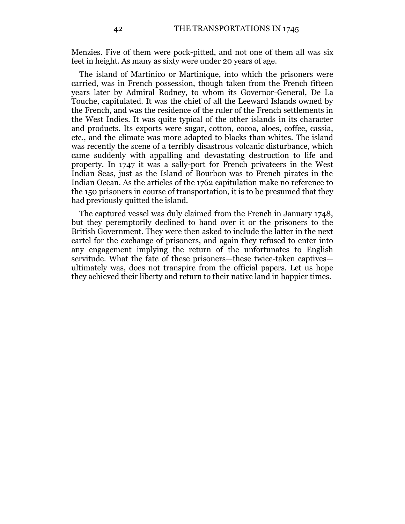Menzies. Five of them were pock-pitted, and not one of them all was six feet in height. As many as sixty were under 20 years of age.

The island of Martinico or Martinique, into which the prisoners were carried, was in French possession, though taken from the French fifteen years later by Admiral Rodney, to whom its Governor-General, De La Touche, capitulated. It was the chief of all the Leeward Islands owned by the French, and was the residence of the ruler of the French settlements in the West Indies. It was quite typical of the other islands in its character and products. Its exports were sugar, cotton, cocoa, aloes, coffee, cassia, etc., and the climate was more adapted to blacks than whites. The island was recently the scene of a terribly disastrous volcanic disturbance, which came suddenly with appalling and devastating destruction to life and property. In 1747 it was a sally-port for French privateers in the West Indian Seas, just as the Island of Bourbon was to French pirates in the Indian Ocean. As the articles of the 1762 capitulation make no reference to the 150 prisoners in course of transportation, it is to be presumed that they had previously quitted the island.

The captured vessel was duly claimed from the French in January 1748, but they peremptorily declined to hand over it or the prisoners to the British Government. They were then asked to include the latter in the next cartel for the exchange of prisoners, and again they refused to enter into any engagement implying the return of the unfortunates to English servitude. What the fate of these prisoners—these twice-taken captives ultimately was, does not transpire from the official papers. Let us hope they achieved their liberty and return to their native land in happier times.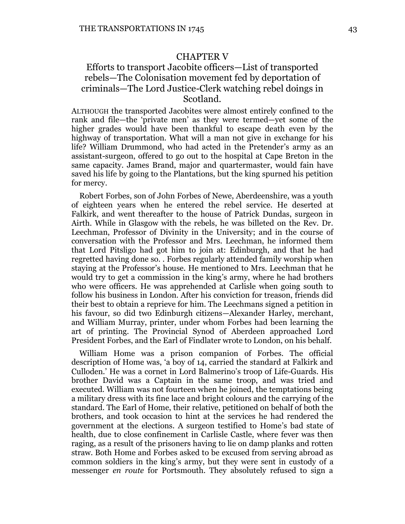#### CHAPTER V

# <span id="page-42-0"></span>Efforts to transport Jacobite officers—List of transported rebels—The Colonisation movement fed by deportation of criminals—The Lord Justice-Clerk watching rebel doings in Scotland.

ALTHOUGH the transported Jacobites were almost entirely confined to the rank and file—the 'private men' as they were termed—yet some of the higher grades would have been thankful to escape death even by the highway of transportation. What will a man not give in exchange for his life? William Drummond, who had acted in the Pretender's army as an assistant-surgeon, offered to go out to the hospital at Cape Breton in the same capacity. James Brand, major and quartermaster, would fain have saved his life by going to the Plantations, but the king spurned his petition for mercy.

Robert Forbes, son of John Forbes of Newe, Aberdeenshire, was a youth of eighteen years when he entered the rebel service. He deserted at Falkirk, and went thereafter to the house of Patrick Dundas, surgeon in Airth. While in Glasgow with the rebels, he was billeted on the Rev. Dr. Leechman, Professor of Divinity in the University; and in the course of conversation with the Professor and Mrs. Leechman, he informed them that Lord Pitsligo had got him to join at: Edinburgh, and that he had regretted having done so. . Forbes regularly attended family worship when staying at the Professor"s house. He mentioned to Mrs. Leechman that he would try to get a commission in the king's army, where he had brothers who were officers. He was apprehended at Carlisle when going south to follow his business in London. After his conviction for treason, friends did their best to obtain a reprieve for him. The Leechmans signed a petition in his favour, so did two Edinburgh citizens—Alexander Harley, merchant, and William Murray, printer, under whom Forbes had been learning the art of printing. The Provincial Synod of Aberdeen approached Lord President Forbes, and the Earl of Findlater wrote to London, on his behalf.

William Home was a prison companion of Forbes. The official description of Home was, "a boy of 14, carried the standard at Falkirk and Culloden." He was a cornet in Lord Balmerino"s troop of Life-Guards. His brother David was a Captain in the same troop, and was tried and executed. William was not fourteen when he joined, the temptations being a military dress with its fine lace and bright colours and the carrying of the standard. The Earl of Home, their relative, petitioned on behalf of both the brothers, and took occasion to hint at the services he had rendered the government at the elections. A surgeon testified to Home"s bad state of health, due to close confinement in Carlisle Castle, where fever was then raging, as a result of the prisoners having to lie on damp planks and rotten straw. Both Home and Forbes asked to be excused from serving abroad as common soldiers in the king"s army, but they were sent in custody of a messenger *en route* for Portsmouth. They absolutely refused to sign a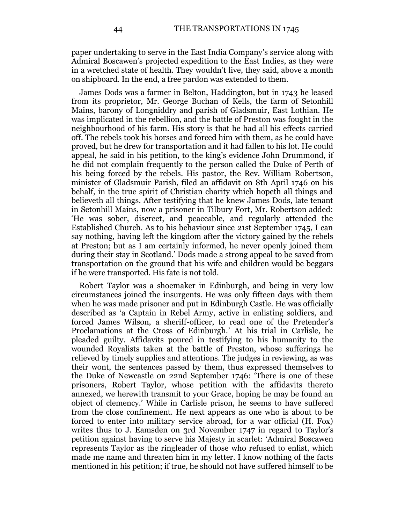paper undertaking to serve in the East India Company"s service along with Admiral Boscawen"s projected expedition to the East Indies, as they were in a wretched state of health. They wouldn"t live, they said, above a month on shipboard. In the end, a free pardon was extended to them.

James Dods was a farmer in Belton, Haddington, but in 1743 he leased from its proprietor, Mr. George Buchan of Kells, the farm of Setonhill Mains, barony of Longniddry and parish of Gladsmuir, East Lothian. He was implicated in the rebellion, and the battle of Preston was fought in the neighbourhood of his farm. His story is that he had all his effects carried off. The rebels took his horses and forced him with them, as he could have proved, but he drew for transportation and it had fallen to his lot. He could appeal, he said in his petition, to the king"s evidence John Drummond, if he did not complain frequently to the person called the Duke of Perth of his being forced by the rebels. His pastor, the Rev. William Robertson, minister of Gladsmuir Parish, filed an affidavit on 8th April 1746 on his behalf, in the true spirit of Christian charity which hopeth all things and believeth all things. After testifying that he knew James Dods, late tenant in Setonhill Mains, now a prisoner in Tilbury Fort, Mr. Robertson added: "He was sober, discreet, and peaceable, and regularly attended the Established Church. As to his behaviour since 21st September 1745, I can say nothing, having left the kingdom after the victory gained by the rebels at Preston; but as I am certainly informed, he never openly joined them during their stay in Scotland." Dods made a strong appeal to be saved from transportation on the ground that his wife and children would be beggars if he were transported. His fate is not told.

Robert Taylor was a shoemaker in Edinburgh, and being in very low circumstances joined the insurgents. He was only fifteen days with them when he was made prisoner and put in Edinburgh Castle. He was officially described as "a Captain in Rebel Army, active in enlisting soldiers, and forced James Wilson, a sheriff-officer, to read one of the Pretender"s Proclamations at the Cross of Edinburgh." At his trial in Carlisle, he pleaded guilty. Affidavits poured in testifying to his humanity to the wounded Royalists taken at the battle of Preston, whose sufferings he relieved by timely supplies and attentions. The judges in reviewing, as was their wont, the sentences passed by them, thus expressed themselves to the Duke of Newcastle on 22nd September 1746: "There is one of these prisoners, Robert Taylor, whose petition with the affidavits thereto annexed, we herewith transmit to your Grace, hoping he may be found an object of clemency." While in Carlisle prison, he seems to have suffered from the close confinement. He next appears as one who is about to be forced to enter into military service abroad, for a war official (H. Fox) writes thus to J. Eamsden on 3rd November 1747 in regard to Taylor's petition against having to serve his Majesty in scarlet: "Admiral Boscawen represents Taylor as the ringleader of those who refused to enlist, which made me name and threaten him in my letter. I know nothing of the facts mentioned in his petition; if true, he should not have suffered himself to be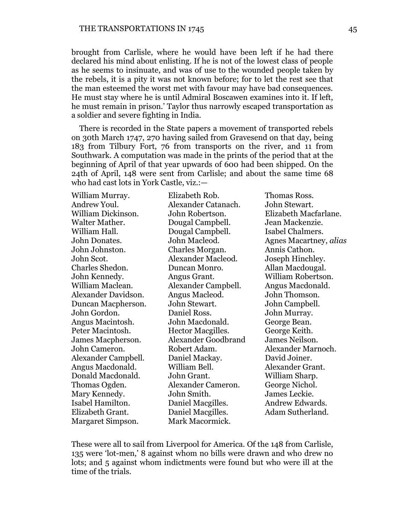brought from Carlisle, where he would have been left if he had there declared his mind about enlisting. If he is not of the lowest class of people as he seems to insinuate, and was of use to the wounded people taken by the rebels, it is a pity it was not known before; for to let the rest see that the man esteemed the worst met with favour may have bad consequences. He must stay where he is until Admiral Boscawen examines into it. If left, he must remain in prison." Taylor thus narrowly escaped transportation as a soldier and severe fighting in India.

There is recorded in the State papers a movement of transported rebels on 30th March 1747, 270 having sailed from Gravesend on that day, being 183 from Tilbury Fort, 76 from transports on the river, and 11 from Southwark. A computation was made in the prints of the period that at the beginning of April of that year upwards of 600 had been shipped. On the 24th of April, 148 were sent from Carlisle; and about the same time 68 who had cast lots in York Castle, viz.:—

William Murray. Andrew Youl. William Dickinson. Walter Mather. William Hall. John Donates. John Johnston. John Scot. Charles Shedon. John Kennedy. William Maclean. Alexander Davidson. Duncan Macpherson. John Gordon. Angus Macintosh. Peter Macintosh. James Macpherson. John Cameron. Alexander Campbell. Angus Macdonald. Donald Macdonald. Thomas Ogden. Mary Kennedy. Isabel Hamilton. Elizabeth Grant. Margaret Simpson.

Elizabeth Rob. Alexander Catanach. John Robertson. Dougal Campbell. Dougal Campbell. John Macleod. Charles Morgan. Alexander Macleod. Duncan Monro. Angus Grant. Alexander Campbell. Angus Macleod. John Stewart. Daniel Ross. John Macdonald. Hector Macgilles. Alexander Goodbrand Robert Adam. Daniel Mackay. William Bell. John Grant. Alexander Cameron. John Smith. Daniel Macgilles. Daniel Macgilles. Mark Macormick.

Thomas Ross. John Stewart. Elizabeth Macfarlane. Jean Mackenzie. Isabel Chalmers. Agnes Macartney, *alias*  Annis Cathon. Joseph Hinchley. Allan Macdougal. William Robertson. Angus Macdonald. John Thomson. John Campbell. John Murray. George Bean. George Keith. James Neilson. Alexander Marnoch. David Joiner. Alexander Grant. William Sharp. George Nichol. James Leckie. Andrew Edwards. Adam Sutherland.

These were all to sail from Liverpool for America. Of the 148 from Carlisle, 135 were "lot-men," 8 against whom no bills were drawn and who drew no lots; and 5 against whom indictments were found but who were ill at the time of the trials.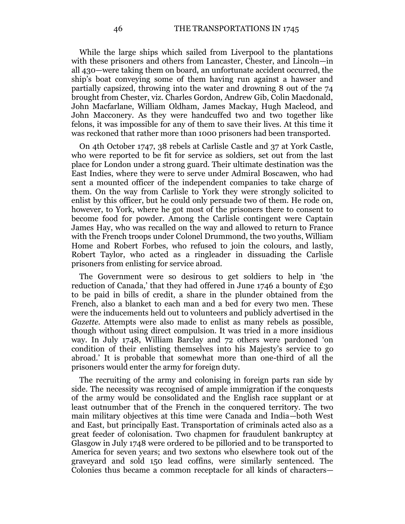While the large ships which sailed from Liverpool to the plantations with these prisoners and others from Lancaster, Chester, and Lincoln—in all 430—were taking them on board, an unfortunate accident occurred, the ship"s boat conveying some of them having run against a hawser and partially capsized, throwing into the water and drowning 8 out of the 74 brought from Chester, viz. Charles Gordon, Andrew Gib, Colin Macdonald, John Macfarlane, William Oldham, James Mackay, Hugh Macleod, and John Macconery. As they were handcuffed two and two together like felons, it was impossible for any of them to save their lives. At this time it was reckoned that rather more than 1000 prisoners had been transported.

On 4th October 1747, 38 rebels at Carlisle Castle and 37 at York Castle, who were reported to be fit for service as soldiers, set out from the last place for London under a strong guard. Their ultimate destination was the East Indies, where they were to serve under Admiral Boscawen, who had sent a mounted officer of the independent companies to take charge of them. On the way from Carlisle to York they were strongly solicited to enlist by this officer, but he could only persuade two of them. He rode on, however, to York, where he got most of the prisoners there to consent to become food for powder. Among the Carlisle contingent were Captain James Hay, who was recalled on the way and allowed to return to France with the French troops under Colonel Drummond, the two youths, William Home and Robert Forbes, who refused to join the colours, and lastly, Robert Taylor, who acted as a ringleader in dissuading the Carlisle prisoners from enlisting for service abroad.

The Government were so desirous to get soldiers to help in "the reduction of Canada,' that they had offered in June 1746 a bounty of  $\pounds$ 30 to be paid in bills of credit, a share in the plunder obtained from the French, also a blanket to each man and a bed for every two men. These were the inducements held out to volunteers and publicly advertised in the *Gazette.* Attempts were also made to enlist as many rebels as possible, though without using direct compulsion. It was tried in a more insidious way. In July 1748, William Barclay and 72 others were pardoned "on condition of their enlisting themselves into his Majesty"s service to go abroad." It is probable that somewhat more than one-third of all the prisoners would enter the army for foreign duty.

The recruiting of the army and colonising in foreign parts ran side by side. The necessity was recognised of ample immigration if the conquests of the army would be consolidated and the English race supplant or at least outnumber that of the French in the conquered territory. The two main military objectives at this time were Canada and India—both West and East, but principally East. Transportation of criminals acted also as a great feeder of colonisation. Two chapmen for fraudulent bankruptcy at Glasgow in July 1748 were ordered to be pilloried and to be transported to America for seven years; and two sextons who elsewhere took out of the graveyard and sold 150 lead coffins, were similarly sentenced. The Colonies thus became a common receptacle for all kinds of characters—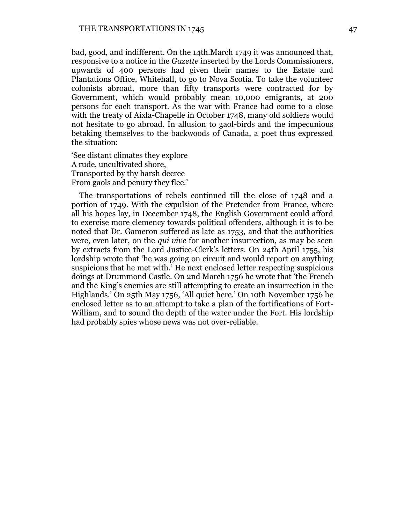bad, good, and indifferent. On the 14th.March 1749 it was announced that, responsive to a notice in the *Gazette* inserted by the Lords Commissioners, upwards of 400 persons had given their names to the Estate and Plantations Office, Whitehall, to go to Nova Scotia. To take the volunteer colonists abroad, more than fifty transports were contracted for by Government, which would probably mean 10,000 emigrants, at 200 persons for each transport. As the war with France had come to a close with the treaty of Aixla-Chapelle in October 1748, many old soldiers would not hesitate to go abroad. In allusion to gaol-birds and the impecunious betaking themselves to the backwoods of Canada, a poet thus expressed the situation:

"See distant climates they explore A rude, uncultivated shore, Transported by thy harsh decree From gaols and penury they flee.'

The transportations of rebels continued till the close of 1748 and a portion of 1749. With the expulsion of the Pretender from France, where all his hopes lay, in December 1748, the English Government could afford to exercise more clemency towards political offenders, although it is to be noted that Dr. Gameron suffered as late as 1753, and that the authorities were, even later, on the *qui vive* for another insurrection, as may be seen by extracts from the Lord Justice-Clerk"s letters. On 24th April 1755, his lordship wrote that "he was going on circuit and would report on anything suspicious that he met with." He next enclosed letter respecting suspicious doings at Drummond Castle. On 2nd March 1756 he wrote that "the French and the King"s enemies are still attempting to create an insurrection in the Highlands." On 25th May 1756, "All quiet here." On 10th November 1756 he enclosed letter as to an attempt to take a plan of the fortifications of Fort-William, and to sound the depth of the water under the Fort. His lordship had probably spies whose news was not over-reliable.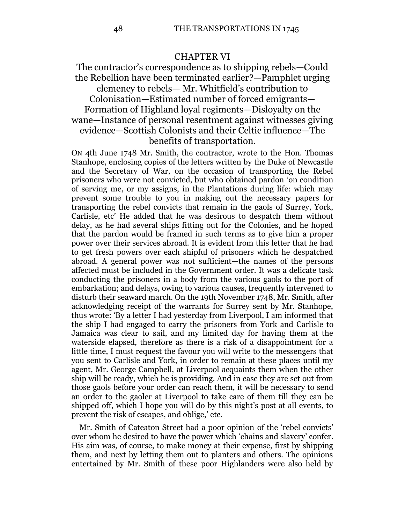#### CHAPTER VI

<span id="page-47-0"></span>The contractor's correspondence as to shipping rebels-Could the Rebellion have been terminated earlier?—Pamphlet urging clemency to rebels— Mr. Whitfield"s contribution to Colonisation—Estimated number of forced emigrants— Formation of Highland loyal regiments—Disloyalty on the wane—Instance of personal resentment against witnesses giving evidence—Scottish Colonists and their Celtic influence—The benefits of transportation.

ON 4th June 1748 Mr. Smith, the contractor, wrote to the Hon. Thomas Stanhope, enclosing copies of the letters written by the Duke of Newcastle and the Secretary of War, on the occasion of transporting the Rebel prisoners who were not convicted, but who obtained pardon "on condition of serving me, or my assigns, in the Plantations during life: which may prevent some trouble to you in making out the necessary papers for transporting the rebel convicts that remain in the gaols of Surrey, York, Carlisle, etc" He added that he was desirous to despatch them without delay, as he had several ships fitting out for the Colonies, and he hoped that the pardon would be framed in such terms as to give him a proper power over their services abroad. It is evident from this letter that he had to get fresh powers over each shipful of prisoners which he despatched abroad. A general power was not sufficient—the names of the persons affected must be included in the Government order. It was a delicate task conducting the prisoners in a body from the various gaols to the port of embarkation; and delays, owing to various causes, frequently intervened to disturb their seaward march. On the 19th November 1748, Mr. Smith, after acknowledging receipt of the warrants for Surrey sent by Mr. Stanhope, thus wrote: "By a letter I had yesterday from Liverpool, I am informed that the ship I had engaged to carry the prisoners from York and Carlisle to Jamaica was clear to sail, and my limited day for having them at the waterside elapsed, therefore as there is a risk of a disappointment for a little time, I must request the favour you will write to the messengers that you sent to Carlisle and York, in order to remain at these places until my agent, Mr. George Campbell, at Liverpool acquaints them when the other ship will be ready, which he is providing. And in case they are set out from those gaols before your order can reach them, it will be necessary to send an order to the gaoler at Liverpool to take care of them till they can be shipped off, which I hope you will do by this night's post at all events, to prevent the risk of escapes, and oblige,' etc.

Mr. Smith of Cateaton Street had a poor opinion of the "rebel convicts" over whom he desired to have the power which "chains and slavery" confer. His aim was, of course, to make money at their expense, first by shipping them, and next by letting them out to planters and others. The opinions entertained by Mr. Smith of these poor Highlanders were also held by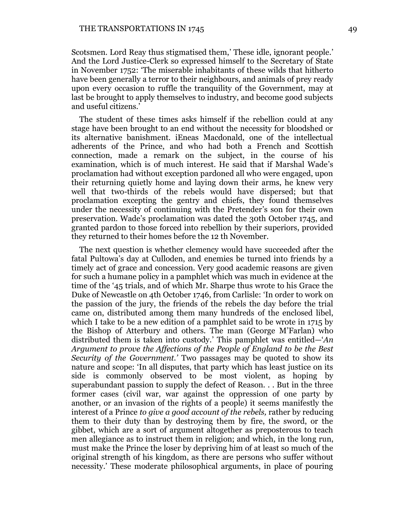Scotsmen. Lord Reay thus stigmatised them,' These idle, ignorant people.' And the Lord Justice-Clerk so expressed himself to the Secretary of State in November 1752: "The miserable inhabitants of these wilds that hitherto have been generally a terror to their neighbours, and animals of prey ready upon every occasion to ruffle the tranquility of the Government, may at last be brought to apply themselves to industry, and become good subjects and useful citizens."

The student of these times asks himself if the rebellion could at any stage have been brought to an end without the necessity for bloodshed or its alternative banishment. iEneas Macdonald, one of the intellectual adherents of the Prince, and who had both a French and Scottish connection, made a remark on the subject, in the course of his examination, which is of much interest. He said that if Marshal Wade"s proclamation had without exception pardoned all who were engaged, upon their returning quietly home and laying down their arms, he knew very well that two-thirds of the rebels would have dispersed; but that proclamation excepting the gentry and chiefs, they found themselves under the necessity of continuing with the Pretender"s son for their own preservation. Wade"s proclamation was dated the 30th October 1745, and granted pardon to those forced into rebellion by their superiors, provided they returned to their homes before the 12 th November.

The next question is whether clemency would have succeeded after the fatal Pultowa"s day at Culloden, and enemies be turned into friends by a timely act of grace and concession. Very good academic reasons are given for such a humane policy in a pamphlet which was much in evidence at the time of the "45 trials, and of which Mr. Sharpe thus wrote to his Grace the Duke of Newcastle on 4th October 1746, from Carlisle: "In order to work on the passion of the jury, the friends of the rebels the day before the trial came on, distributed among them many hundreds of the enclosed libel, which I take to be a new edition of a pamphlet said to be wrote in 1715 by the Bishop of Atterbury and others. The man (George M"Farlan) who distributed them is taken into custody." This pamphlet was entitled—"*An Argument to prove the Affections of the People of England to be the Best Security of the Government.'* Two passages may be quoted to show its nature and scope: "In all disputes, that party which has least justice on its side is commonly observed to be most violent, as hoping by superabundant passion to supply the defect of Reason. . . But in the three former cases (civil war, war against the oppression of one party by another, or an invasion of the rights of a people) it seems manifestly the interest of a Prince *to give a good account of the rebels,* rather by reducing them to their duty than by destroying them by fire, the sword, or the gibbet, which are a sort of argument altogether as preposterous to teach men allegiance as to instruct them in religion; and which, in the long run, must make the Prince the loser by depriving him of at least so much of the original strength of his kingdom, as there are persons who suffer without necessity." These moderate philosophical arguments, in place of pouring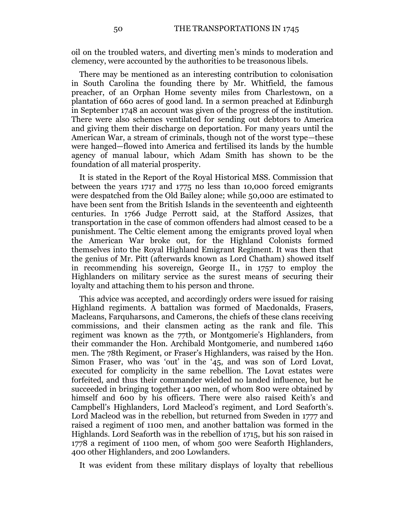oil on the troubled waters, and diverting men"s minds to moderation and clemency, were accounted by the authorities to be treasonous libels.

There may be mentioned as an interesting contribution to colonisation in South Carolina the founding there by Mr. Whitfield, the famous preacher, of an Orphan Home seventy miles from Charlestown, on a plantation of 660 acres of good land. In a sermon preached at Edinburgh in September 1748 an account was given of the progress of the institution. There were also schemes ventilated for sending out debtors to America and giving them their discharge on deportation. For many years until the American War, a stream of criminals, though not of the worst type—these were hanged—flowed into America and fertilised its lands by the humble agency of manual labour, which Adam Smith has shown to be the foundation of all material prosperity.

It is stated in the Report of the Royal Historical MSS. Commission that between the years 1717 and 1775 no less than 10,000 forced emigrants were despatched from the Old Bailey alone; while 50,000 are estimated to have been sent from the British Islands in the seventeenth and eighteenth centuries. In 1766 Judge Perrott said, at the Stafford Assizes, that transportation in the case of common offenders had almost ceased to be a punishment. The Celtic element among the emigrants proved loyal when the American War broke out, for the Highland Colonists formed themselves into the Royal Highland Emigrant Regiment. It was then that the genius of Mr. Pitt (afterwards known as Lord Chatham) showed itself in recommending his sovereign, George II., in 1757 to employ the Highlanders on military service as the surest means of securing their loyalty and attaching them to his person and throne.

This advice was accepted, and accordingly orders were issued for raising Highland regiments. A battalion was formed of Macdonalds, Frasers, Macleans, Farquharsons, and Camerons, the chiefs of these clans receiving commissions, and their clansmen acting as the rank and file. This regiment was known as the 77th, or Montgomerie's Highlanders, from their commander the Hon. Archibald Montgomerie, and numbered 1460 men. The 78th Regiment, or Fraser"s Highlanders, was raised by the Hon. Simon Fraser, who was 'out' in the '45, and was son of Lord Lovat, executed for complicity in the same rebellion. The Lovat estates were forfeited, and thus their commander wielded no landed influence, but he succeeded in bringing together 1400 men, of whom 800 were obtained by himself and 600 by his officers. There were also raised Keith's and Campbell"s Highlanders, Lord Macleod"s regiment, and Lord Seaforth"s. Lord Macleod was in the rebellion, but returned from Sweden in 1777 and raised a regiment of 1100 men, and another battalion was formed in the Highlands. Lord Seaforth was in the rebellion of 1715, but his son raised in 1778 a regiment of 1100 men, of whom 500 were Seaforth Highlanders, 400 other Highlanders, and 200 Lowlanders.

It was evident from these military displays of loyalty that rebellious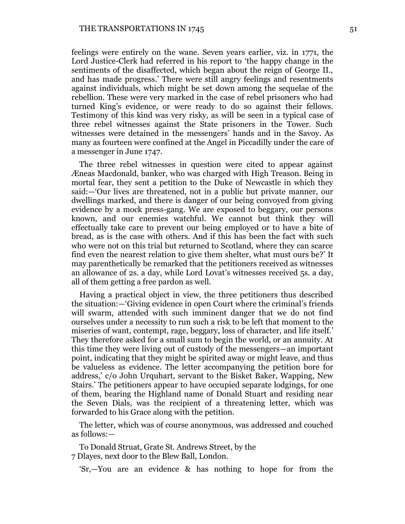feelings were entirely on the wane. Seven years earlier, viz. in 1771, the Lord Justice-Clerk had referred in his report to "the happy change in the sentiments of the disaffected, which began about the reign of George II., and has made progress." There were still angry feelings and resentments against individuals, which might be set down among the sequelae of the rebellion. These were very marked in the case of rebel prisoners who had turned King"s evidence, or were ready to do so against their fellows. Testimony of this kind was very risky, as will be seen in a typical case of three rebel witnesses against the State prisoners in the Tower. Such witnesses were detained in the messengers' hands and in the Savoy. As many as fourteen were confined at the Angel in Piccadilly under the care of a messenger in June 1747.

The three rebel witnesses in question were cited to appear against Æneas Macdonald, banker, who was charged with High Treason. Being in mortal fear, they sent a petition to the Duke of Newcastle in which they said:—"Our lives are threatened, not in a public but private manner, our dwellings marked, and there is danger of our being convoyed from giving evidence by a mock press-gang. We are exposed to beggary, our persons known, and our enemies watchful. We cannot but think they will effectually take care to prevent our being employed or to have a bite of bread, as is the case with others. And if this has been the fact with such who were not on this trial but returned to Scotland, where they can scarce find even the nearest relation to give them shelter, what must ours be?" It may parenthetically be remarked that the petitioners received as witnesses an allowance of 2s. a day, while Lord Lovat's witnesses received 5s. a day, all of them getting a free pardon as well.

Having a practical object in view, the three petitioners thus described the situation:—"Giving evidence in open Court where the criminal"s friends will swarm, attended with such imminent danger that we do not find ourselves under a necessity to run such a risk to be left that moment to the miseries of want, contempt, rage, beggary, loss of character, and life itself.' They therefore asked for a small sum to begin the world, or an annuity. At this time they were living out of custody of the messengers—an important point, indicating that they might be spirited away or might leave, and thus be valueless as evidence. The letter accompanying the petition bore for address," c/o John Urquhart, servant to the Bisket Baker, Wapping, New Stairs." The petitioners appear to have occupied separate lodgings, for one of them, bearing the Highland name of Donald Stuart and residing near the Seven Dials, was the recipient of a threatening letter, which was forwarded to his Grace along with the petition.

The letter, which was of course anonymous, was addressed and couched as follows:—

To Donald Struat, Grate St. Andrews Street, by the 7 Dlayes, next door to the Blew Ball, London.

"Sr,—You are an evidence & has nothing to hope for from the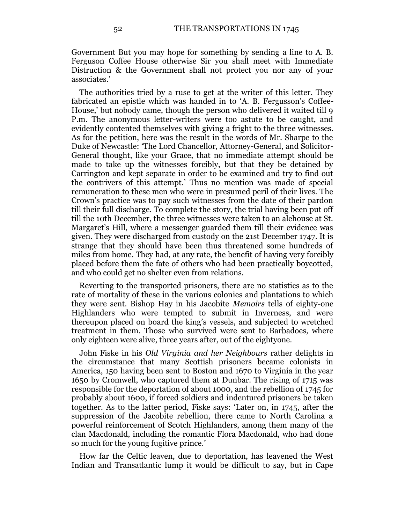Government But you may hope for something by sending a line to A. B. Ferguson Coffee House otherwise Sir you shall meet with Immediate Distruction & the Government shall not protect you nor any of your associates."

The authorities tried by a ruse to get at the writer of this letter. They fabricated an epistle which was handed in to "A. B. Fergusson"s Coffee-House," but nobody came, though the person who delivered it waited till 9 P.m. The anonymous letter-writers were too astute to be caught, and evidently contented themselves with giving a fright to the three witnesses. As for the petition, here was the result in the words of Mr. Sharpe to the Duke of Newcastle: "The Lord Chancellor, Attorney-General, and Solicitor-General thought, like your Grace, that no immediate attempt should be made to take up the witnesses forcibly, but that they be detained by Carrington and kept separate in order to be examined and try to find out the contrivers of this attempt." Thus no mention was made of special remuneration to these men who were in presumed peril of their lives. The Crown"s practice was to pay such witnesses from the date of their pardon till their full discharge. To complete the story, the trial having been put off till the 10th December, the three witnesses were taken to an alehouse at St. Margaret"s Hill, where a messenger guarded them till their evidence was given. They were discharged from custody on the 21st December 1747. It is strange that they should have been thus threatened some hundreds of miles from home. They had, at any rate, the benefit of having very forcibly placed before them the fate of others who had been practically boycotted, and who could get no shelter even from relations.

Reverting to the transported prisoners, there are no statistics as to the rate of mortality of these in the various colonies and plantations to which they were sent. Bishop Hay in his Jacobite *Memoirs* tells of eighty-one Highlanders who were tempted to submit in Inverness, and were thereupon placed on board the king"s vessels, and subjected to wretched treatment in them. Those who survived were sent to Barbadoes, where only eighteen were alive, three years after, out of the eightyone.

John Fiske in his *Old Virginia and her Neighbours* rather delights in the circumstance that many Scottish prisoners became colonists in America, 150 having been sent to Boston and 1670 to Virginia in the year 1650 by Cromwell, who captured them at Dunbar. The rising of 1715 was responsible for the deportation of about 1000, and the rebellion of 1745 for probably about 1600, if forced soldiers and indentured prisoners be taken together. As to the latter period, Fiske says: "Later on, in 1745, after the suppression of the Jacobite rebellion, there came to North Carolina a powerful reinforcement of Scotch Highlanders, among them many of the clan Macdonald, including the romantic Flora Macdonald, who had done so much for the young fugitive prince."

How far the Celtic leaven, due to deportation, has leavened the West Indian and Transatlantic lump it would be difficult to say, but in Cape